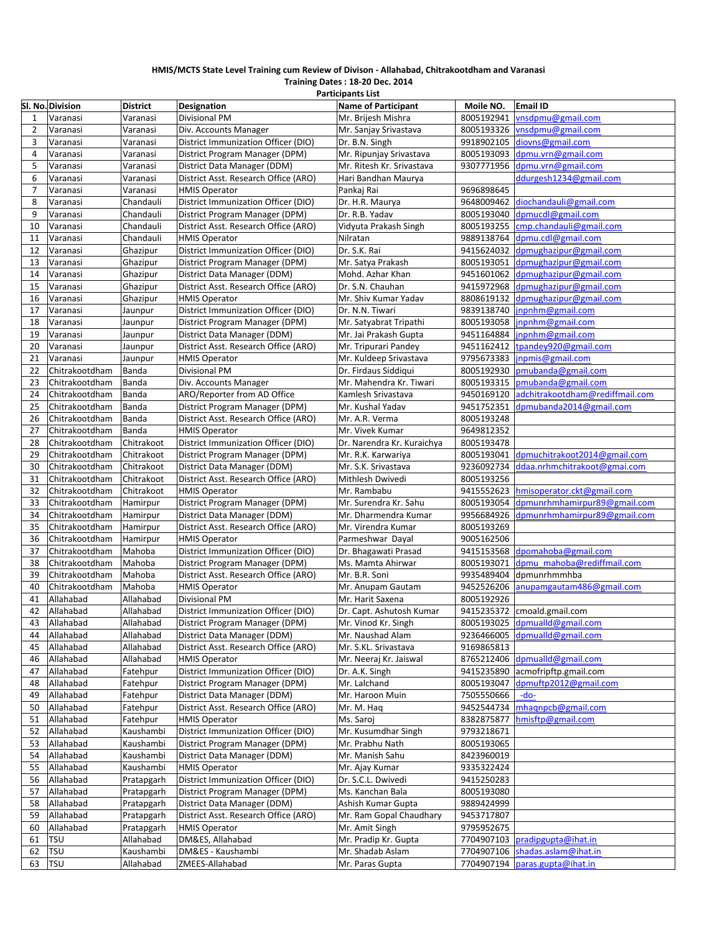#### **HMIS/MCTS State Level Training cum Review of Divison ‐ Allahabad, Chitrakootdham and Varanasi Training Dates : 18‐20 Dec. 2014**

|                | <b>Participants List</b> |                 |                                      |                            |            |                                   |  |  |
|----------------|--------------------------|-----------------|--------------------------------------|----------------------------|------------|-----------------------------------|--|--|
|                | Sl. No. Division         | <b>District</b> | Designation                          | <b>Name of Participant</b> | Moile NO.  | <b>Email ID</b>                   |  |  |
| 1              | Varanasi                 | Varanasi        | <b>Divisional PM</b>                 | Mr. Brijesh Mishra         | 8005192941 | vnsdpmu@gmail.com                 |  |  |
| $\overline{2}$ | Varanasi                 | Varanasi        | Div. Accounts Manager                | Mr. Sanjay Srivastava      | 8005193326 | vnsdpmu@gmail.com                 |  |  |
| 3              | Varanasi                 | Varanasi        | District Immunization Officer (DIO)  | Dr. B.N. Singh             | 9918902105 | diovns@gmail.com                  |  |  |
| $\overline{4}$ | Varanasi                 | Varanasi        | District Program Manager (DPM)       | Mr. Ripunjay Srivastava    | 8005193093 | dpmu.vrn@gmail.com                |  |  |
| 5              | Varanasi                 | Varanasi        | District Data Manager (DDM)          | Mr. Ritesh Kr. Srivastava  | 9307771956 | dpmu.vrn@gmail.com                |  |  |
| 6              | Varanasi                 | Varanasi        | District Asst. Research Office (ARO) | Hari Bandhan Maurya        |            | ddurgesh1234@gmail.com            |  |  |
| $\overline{7}$ | Varanasi                 | Varanasi        | <b>HMIS Operator</b>                 | Pankaj Rai                 | 9696898645 |                                   |  |  |
| 8              | Varanasi                 | Chandauli       | District Immunization Officer (DIO)  | Dr. H.R. Maurya            |            | 9648009462 diochandauli@gmail.com |  |  |
| 9              | Varanasi                 | Chandauli       | District Program Manager (DPM)       | Dr. R.B. Yadav             | 8005193040 | dpmucdl@gmail.com                 |  |  |
| 10             | Varanasi                 | Chandauli       | District Asst. Research Office (ARO) | Vidyuta Prakash Singh      | 8005193255 | cmp.chandauli@gmail.com           |  |  |
| 11             | Varanasi                 | Chandauli       | <b>HMIS Operator</b>                 | Nilratan                   | 9889138764 | dpmu.cdl@gmail.com                |  |  |
| 12             | Varanasi                 | Ghazipur        | District Immunization Officer (DIO)  | Dr. S.K. Rai               | 9415624032 | dpmughazipur@gmail.com            |  |  |
| 13             | Varanasi                 | Ghazipur        | District Program Manager (DPM)       | Mr. Satya Prakash          | 8005193051 | dpmughazipur@gmail.com            |  |  |
| 14             | Varanasi                 | Ghazipur        | District Data Manager (DDM)          | Mohd. Azhar Khan           | 9451601062 | dpmughazipur@gmail.com            |  |  |
| 15             | Varanasi                 | Ghazipur        | District Asst. Research Office (ARO) | Dr. S.N. Chauhan           | 9415972968 | dpmughazipur@gmail.com            |  |  |
| 16             | Varanasi                 | Ghazipur        | <b>HMIS Operator</b>                 | Mr. Shiv Kumar Yadav       | 8808619132 | dpmughazipur@gmail.com            |  |  |
| 17             | Varanasi                 | Jaunpur         | District Immunization Officer (DIO)  | Dr. N.N. Tiwari            | 9839138740 | jnpnhm@gmail.com                  |  |  |
| 18             | Varanasi                 | Jaunpur         | District Program Manager (DPM)       | Mr. Satyabrat Tripathi     | 8005193058 | inpnhm@gmail.com                  |  |  |
| 19             | Varanasi                 | Jaunpur         | District Data Manager (DDM)          | Mr. Jai Prakash Gupta      | 9451164884 | inpnhm@gmail.com                  |  |  |
| 20             | Varanasi                 | Jaunpur         | District Asst. Research Office (ARO) | Mr. Tripurari Pandey       | 9451162412 | tpandey920@gmail.com              |  |  |
| 21             |                          |                 |                                      |                            | 9795673383 | inpmis@gmail.com                  |  |  |
|                | Varanasi                 | Jaunpur         | <b>HMIS Operator</b>                 | Mr. Kuldeep Srivastava     |            |                                   |  |  |
| 22             | Chitrakootdham           | Banda           | <b>Divisional PM</b>                 | Dr. Firdaus Siddiqui       | 8005192930 | pmubanda@gmail.com                |  |  |
| 23             | Chitrakootdham           | Banda           | Div. Accounts Manager                | Mr. Mahendra Kr. Tiwari    | 8005193315 | pmubanda@gmail.com                |  |  |
| 24             | Chitrakootdham           | Banda           | ARO/Reporter from AD Office          | Kamlesh Srivastava         | 9450169120 | adchitrakootdham@rediffmail.com   |  |  |
| 25             | Chitrakootdham           | Banda           | District Program Manager (DPM)       | Mr. Kushal Yadav           | 9451752351 | dpmubanda2014@gmail.com           |  |  |
| 26             | Chitrakootdham           | Banda           | District Asst. Research Office (ARO) | Mr. A.R. Verma             | 8005193248 |                                   |  |  |
| 27             | Chitrakootdham           | Banda           | <b>HMIS Operator</b>                 | Mr. Vivek Kumar            | 9649812352 |                                   |  |  |
| 28             | Chitrakootdham           | Chitrakoot      | District Immunization Officer (DIO)  | Dr. Narendra Kr. Kuraichya | 8005193478 |                                   |  |  |
| 29             | Chitrakootdham           | Chitrakoot      | District Program Manager (DPM)       | Mr. R.K. Karwariya         | 8005193041 | dpmuchitrakoot2014@gmail.com      |  |  |
| 30             | Chitrakootdham           | Chitrakoot      | District Data Manager (DDM)          | Mr. S.K. Srivastava        | 9236092734 | ddaa.nrhmchitrakoot@gmai.com      |  |  |
| 31             | Chitrakootdham           | Chitrakoot      | District Asst. Research Office (ARO) | Mithlesh Dwivedi           | 8005193256 |                                   |  |  |
| 32             | Chitrakootdham           | Chitrakoot      | <b>HMIS Operator</b>                 | Mr. Rambabu                | 9415552623 | hmisoperator.ckt@gmail.com        |  |  |
| 33             | Chitrakootdham           | Hamirpur        | District Program Manager (DPM)       | Mr. Surendra Kr. Sahu      | 8005193054 | dpmunrhmhamirpur89@gmail.com      |  |  |
| 34             | Chitrakootdham           | Hamirpur        | District Data Manager (DDM)          | Mr. Dharmendra Kumar       | 9956684926 | dpmunrhmhamirpur89@gmail.com      |  |  |
| 35             | Chitrakootdham           | Hamirpur        | District Asst. Research Office (ARO) | Mr. Virendra Kumar         | 8005193269 |                                   |  |  |
| 36             | Chitrakootdham           | Hamirpur        | <b>HMIS Operator</b>                 | Parmeshwar Dayal           | 9005162506 |                                   |  |  |
| 37             | Chitrakootdham           | Mahoba          | District Immunization Officer (DIO)  | Dr. Bhagawati Prasad       | 9415153568 | dpomahoba@gmail.com               |  |  |
| 38             | Chitrakootdham           | Mahoba          | District Program Manager (DPM)       | Ms. Mamta Ahirwar          | 8005193071 | dpmu mahoba@rediffmail.com        |  |  |
| 39             | Chitrakootdham           | Mahoba          | District Asst. Research Office (ARO) | Mr. B.R. Soni              | 9935489404 | dpmunrhmmhba                      |  |  |
| 40             | Chitrakootdham           | Mahoba          | <b>HMIS Operator</b>                 | Mr. Anupam Gautam          | 9452526206 | anupamgautam486@gmail.com         |  |  |
| 41             | Allahabad                | Allahabad       | <b>Divisional PM</b>                 | Mr. Harit Saxena           | 8005192926 |                                   |  |  |
| 42             | Allahabad                | Allahabad       | District Immunization Officer (DIO)  | Dr. Capt. Ashutosh Kumar   |            | 9415235372 cmoald.gmail.com       |  |  |
| 43             | Allahabad                | Allahabad       | District Program Manager (DPM)       | Mr. Vinod Kr. Singh        |            | 8005193025 dpmualld@gmail.com     |  |  |
| 44             | Allahabad                | Allahabad       | District Data Manager (DDM)          | Mr. Naushad Alam           | 9236466005 | dpmualld@gmail.com                |  |  |
| 45             | Allahabad                | Allahabad       | District Asst. Research Office (ARO) | Mr. S.KL. Srivastava       | 9169865813 |                                   |  |  |
| 46             | Allahabad                | Allahabad       | <b>HMIS Operator</b>                 | Mr. Neeraj Kr. Jaiswal     |            | 8765212406 dpmualld@gmail.com     |  |  |
| 47             | Allahabad                | Fatehpur        | District Immunization Officer (DIO)  | Dr. A.K. Singh             | 9415235890 | acmofripftp.gmail.com             |  |  |
| 48             | Allahabad                | Fatehpur        | District Program Manager (DPM)       | Mr. Lalchand               | 8005193047 | dpmuftp2012@gmail.com             |  |  |
| 49             | Allahabad                | Fatehpur        | District Data Manager (DDM)          | Mr. Haroon Muin            | 7505550666 | $-do-$                            |  |  |
| 50             | Allahabad                | Fatehpur        | District Asst. Research Office (ARO) | Mr. M. Hag                 | 9452544734 | mhaqnpcb@gmail.com                |  |  |
| 51             | Allahabad                | Fatehpur        | <b>HMIS Operator</b>                 | Ms. Saroj                  | 8382875877 | hmisftp@gmail.com                 |  |  |
| 52             | Allahabad                | Kaushambi       | District Immunization Officer (DIO)  | Mr. Kusumdhar Singh        | 9793218671 |                                   |  |  |
| 53             | Allahabad                | Kaushambi       | District Program Manager (DPM)       | Mr. Prabhu Nath            | 8005193065 |                                   |  |  |
| 54             | Allahabad                | Kaushambi       | District Data Manager (DDM)          | Mr. Manish Sahu            | 8423960019 |                                   |  |  |
| 55             | Allahabad                | Kaushambi       | <b>HMIS Operator</b>                 | Mr. Ajay Kumar             | 9335322424 |                                   |  |  |
| 56             | Allahabad                | Pratapgarh      | District Immunization Officer (DIO)  | Dr. S.C.L. Dwivedi         | 9415250283 |                                   |  |  |
| 57             | Allahabad                | Pratapgarh      | District Program Manager (DPM)       | Ms. Kanchan Bala           | 8005193080 |                                   |  |  |
| 58             | Allahabad                | Pratapgarh      | District Data Manager (DDM)          | Ashish Kumar Gupta         | 9889424999 |                                   |  |  |
| 59             | Allahabad                | Pratapgarh      | District Asst. Research Office (ARO) | Mr. Ram Gopal Chaudhary    | 9453717807 |                                   |  |  |
| 60             | Allahabad                | Pratapgarh      | <b>HMIS Operator</b>                 | Mr. Amit Singh             | 9795952675 |                                   |  |  |
| 61             | <b>TSU</b>               | Allahabad       | DM&ES, Allahabad                     | Mr. Pradip Kr. Gupta       | 7704907103 | pradipgupta@ihat.in               |  |  |
| 62             | <b>TSU</b>               | Kaushambi       | DM&ES - Kaushambi                    | Mr. Shadab Aslam           | 7704907106 | shadas.aslam@ihat.in              |  |  |
| 63             | <b>TSU</b>               | Allahabad       | ZMEES-Allahabad                      | Mr. Paras Gupta            | 7704907194 | paras.gupta@ihat.in               |  |  |
|                |                          |                 |                                      |                            |            |                                   |  |  |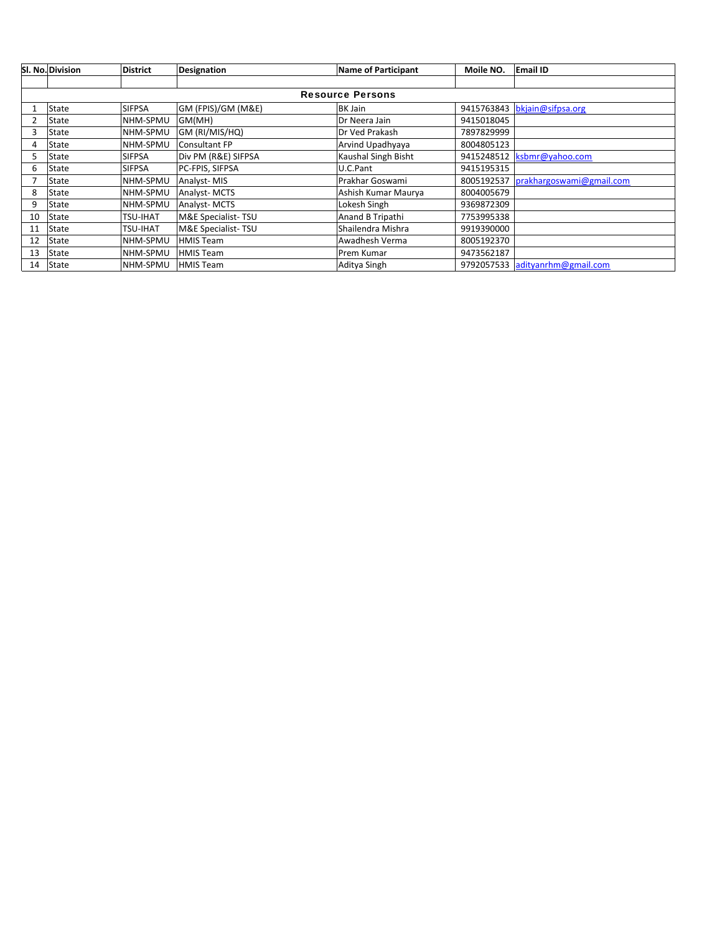|    | <b>SI. No. Division</b> | <b>District</b> | Designation          | <b>Name of Participant</b> | Moile NO.  | <b>Email ID</b>                 |  |  |  |  |
|----|-------------------------|-----------------|----------------------|----------------------------|------------|---------------------------------|--|--|--|--|
|    |                         |                 |                      |                            |            |                                 |  |  |  |  |
|    | <b>Resource Persons</b> |                 |                      |                            |            |                                 |  |  |  |  |
|    | <b>State</b>            | <b>SIFPSA</b>   | GM (FPIS)/GM (M&E)   | <b>BK Jain</b>             | 9415763843 | bkjain@sifpsa.org               |  |  |  |  |
|    | State                   | NHM-SPMU        | GM(MH)               | Dr Neera Jain              | 9415018045 |                                 |  |  |  |  |
|    | State                   | NHM-SPMU        | GM (RI/MIS/HQ)       | Dr Ved Prakash             | 7897829999 |                                 |  |  |  |  |
| 4  | <b>State</b>            | NHM-SPMU        | <b>Consultant FP</b> | Arvind Upadhyaya           | 8004805123 |                                 |  |  |  |  |
|    | State                   | <b>SIFPSA</b>   | Div PM (R&E) SIFPSA  | Kaushal Singh Bisht        |            | 9415248512   ksbmr@yahoo.com    |  |  |  |  |
| 6  | State                   | SIFPSA          | PC-FPIS, SIFPSA      | U.C.Pant                   | 9415195315 |                                 |  |  |  |  |
|    | <b>State</b>            | NHM-SPMU        | Analyst-MIS          | Prakhar Goswami            | 8005192537 | prakhargoswami@gmail.com        |  |  |  |  |
| 8  | State                   | NHM-SPMU        | <b>Analyst-MCTS</b>  | Ashish Kumar Maurya        | 8004005679 |                                 |  |  |  |  |
| 9  | State                   | NHM-SPMU        | Analyst-MCTS         | Lokesh Singh               | 9369872309 |                                 |  |  |  |  |
| 10 | <b>State</b>            | TSU-IHAT        | M&E Specialist-TSU   | Anand B Tripathi           | 7753995338 |                                 |  |  |  |  |
| 11 | <b>State</b>            | TSU-IHAT        | M&E Specialist-TSU   | Shailendra Mishra          | 9919390000 |                                 |  |  |  |  |
| 12 | State                   | NHM-SPMU        | <b>HMIS Team</b>     | Awadhesh Verma             | 8005192370 |                                 |  |  |  |  |
| 13 | State                   | NHM-SPMU        | <b>HMIS Team</b>     | Prem Kumar                 | 9473562187 |                                 |  |  |  |  |
| 14 | State                   | NHM-SPMU        | <b>HMIS Team</b>     | Aditya Singh               |            | 9792057533 adityanrhm@gmail.com |  |  |  |  |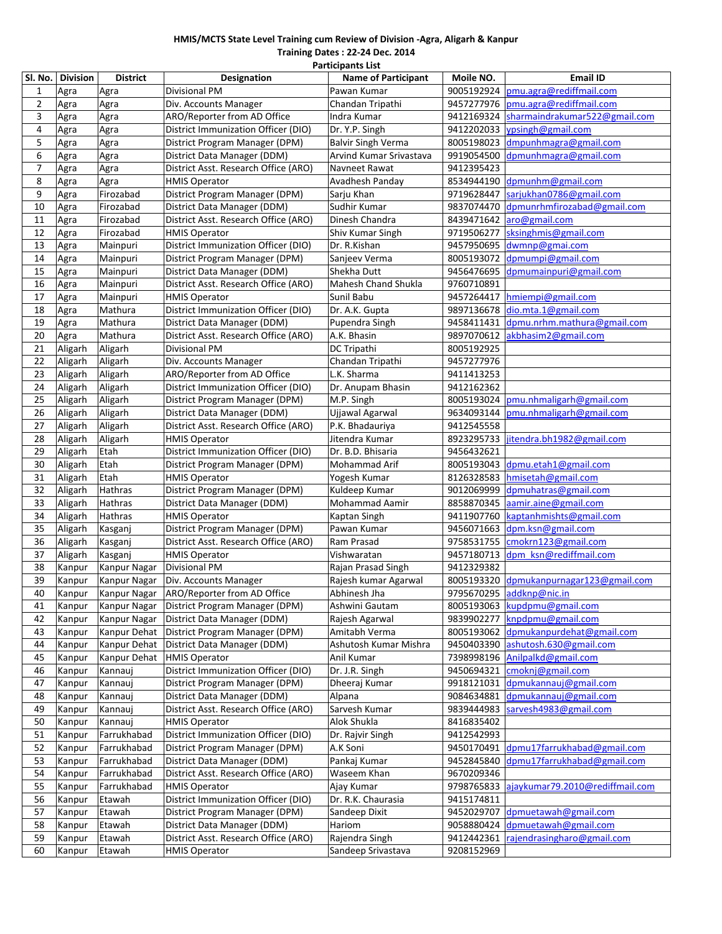## **HMIS/MCTS State Level Training cum Review of Division ‐Agra, Aligarh & Kanpur**

**Training Dates : 22‐24 Dec. 2014 Participants List**

| <b>Divisional PM</b><br>pmu.agra@rediffmail.com<br>$\mathbf{1}$<br>Pawan Kumar<br>9005192924<br>Agra<br>Agra<br>$\overline{2}$<br>pmu.agra@rediffmail.com<br>Div. Accounts Manager<br>9457277976<br>Agra<br>Chandan Tripathi<br>Agra<br>3<br>ARO/Reporter from AD Office<br>9412169324<br>sharmaindrakumar522@gmail.com<br>Agra<br>Agra<br>Indra Kumar<br>4<br>ypsingh@gmail.com<br>Agra<br>Agra<br>District Immunization Officer (DIO)<br>Dr. Y.P. Singh<br>9412202033<br>5<br>8005198023<br>dmpunhmagra@gmail.com<br>Agra<br>Agra<br>District Program Manager (DPM)<br><b>Balvir Singh Verma</b><br>6<br>District Data Manager (DDM)<br>Arvind Kumar Srivastava<br>9919054500<br>dpmunhmagra@gmail.com<br>Agra<br>Agra<br>7<br>District Asst. Research Office (ARO)<br>Navneet Rawat<br>9412395423<br>Agra<br>Agra<br>8<br>Avadhesh Panday<br>8534944190 dpmunhm@gmail.com<br>Agra<br>Agra<br><b>HMIS Operator</b><br>9<br>District Program Manager (DPM)<br>sarjukhan0786@gmail.com<br>Firozabad<br>Sarju Khan<br>9719628447<br>Agra<br>10<br>9837074470 dpmunrhmfirozabad@gmail.com<br>Firozabad<br>District Data Manager (DDM)<br>Sudhir Kumar<br>Agra<br>Dinesh Chandra<br>aro@gmail.com<br>11<br>Agra<br>Firozabad<br>District Asst. Research Office (ARO)<br>8439471642<br>sksinghmis@gmail.com<br>12<br>Firozabad<br><b>HMIS Operator</b><br>Shiv Kumar Singh<br>9719506277<br>Agra<br>District Immunization Officer (DIO)<br>13<br>Dr. R.Kishan<br>9457950695<br>dwmnp@gmai.com<br>Agra<br>Mainpuri<br>8005193072<br>dpmumpi@gmail.com<br>14<br>Agra<br>Mainpuri<br>District Program Manager (DPM)<br>Sanjeev Verma<br>dpmumainpuri@gmail.com<br>15<br>District Data Manager (DDM)<br>Shekha Dutt<br>9456476695<br>Agra<br>Mainpuri<br>16<br>Mahesh Chand Shukla<br>9760710891<br>Mainpuri<br>District Asst. Research Office (ARO)<br>Agra<br>Sunil Babu<br>17<br><b>HMIS Operator</b><br>9457264417<br>hmiempi@gmail.com<br>Agra<br>Mainpuri<br>District Immunization Officer (DIO)<br>18<br>Dr. A.K. Gupta<br>9897136678<br>dio.mta.1@gmail.com<br>Agra<br>Mathura<br>District Data Manager (DDM)<br>19<br>Mathura<br>Pupendra Singh<br>9458411431<br>dpmu.nrhm.mathura@gmail.com<br>Agra<br>A.K. Bhasin<br>9897070612 akbhasim2@gmail.com<br>20<br>Mathura<br>District Asst. Research Office (ARO)<br>Agra<br>21<br>Aligarh<br>Divisional PM<br><b>DC Tripathi</b><br>8005192925<br>Aligarh<br>22<br>Aligarh<br>Aligarh<br>Div. Accounts Manager<br>Chandan Tripathi<br>9457277976<br>ARO/Reporter from AD Office<br>23<br>Aligarh<br>Aligarh<br>L.K. Sharma<br>9411413253<br>District Immunization Officer (DIO)<br>24<br>Aligarh<br>Aligarh<br>Dr. Anupam Bhasin<br>9412162362<br>25<br>pmu.nhmaligarh@gmail.com<br>Aligarh<br>Aligarh<br>District Program Manager (DPM)<br>M.P. Singh<br>8005193024<br>26<br>Aligarh<br>District Data Manager (DDM)<br>Ujjawal Agarwal<br>9634093144<br>pmu.nhmaligarh@gmail.com<br>Aligarh<br>27<br>Aligarh<br>Aligarh<br>District Asst. Research Office (ARO)<br>P.K. Bhadauriya<br>9412545558<br>28<br>8923295733<br>jitendra.bh1982@gmail.com<br>Aligarh<br>Aligarh<br><b>HMIS Operator</b><br>Jitendra Kumar<br>District Immunization Officer (DIO)<br>29<br>Aligarh<br>Etah<br>Dr. B.D. Bhisaria<br>9456432621<br>Etah<br>Mohammad Arif<br>dpmu.etah1@gmail.com<br>30<br>Aligarh<br>District Program Manager (DPM)<br>8005193043<br>Etah<br>31<br>Aligarh<br><b>HMIS Operator</b><br>Yogesh Kumar<br>8126328583<br>hmisetah@gmail.com<br>32<br>Aligarh<br>District Program Manager (DPM)<br>Kuldeep Kumar<br>9012069999<br>dpmuhatras@gmail.com<br>Hathras<br>33<br>Aligarh<br>District Data Manager (DDM)<br>Mohammad Aamir<br>8858870345<br>aamir.aine@gmail.com<br>Hathras<br>kaptanhmishts@gmail.com<br>34<br>Aligarh<br>Hathras<br><b>HMIS Operator</b><br>Kaptan Singh<br>9411907760<br>35<br>dpm.ksn@gmail.com<br>Aligarh<br>District Program Manager (DPM)<br>Pawan Kumar<br>9456071663<br>Kasganj<br>cmokrn123@gmail.com<br>36<br>Aligarh<br>District Asst. Research Office (ARO)<br>Ram Prasad<br>9758531755<br>Kasganj<br>Vishwaratan<br>9457180713<br>dpm ksn@rediffmail.com<br>37<br>Aligarh<br><b>HMIS Operator</b><br>Kasganj<br><b>Divisional PM</b><br>9412329382<br>38<br>Kanpur<br>Kanpur Nagar<br>Rajan Prasad Singh<br>39<br>8005193320 dpmukanpurnagar123@gmail.com<br>Kanpur<br>Kanpur Nagar<br>Div. Accounts Manager<br>Rajesh kumar Agarwal<br>9795670295 addknp@nic.in<br>40<br>Kanpur Nagar   ARO/Reporter from AD Office<br>Abhinesh Jha<br>Kanpur<br>Kanpur<br>District Program Manager (DPM)<br>8005193063<br>kupdpmu@gmail.com<br>Kanpur Nagar<br>Ashwini Gautam<br>41<br>knpdpmu@gmail.com<br>42<br>Kanpur<br>Kanpur Nagar<br>District Data Manager (DDM)<br>Rajesh Agarwal<br>9839902277<br>dpmukanpurdehat@gmail.com<br>43<br>Kanpur<br>Kanpur Dehat<br>District Program Manager (DPM)<br>Amitabh Verma<br>8005193062<br>Ashutosh Kumar Mishra<br>9450403390<br>ashutosh.630@gmail.com<br>44<br>Kanpur<br>Kanpur Dehat<br>District Data Manager (DDM)<br>Anil Kumar<br>Anilpalkd@gmail.com<br>45<br>Kanpur<br>Kanpur Dehat<br><b>HMIS Operator</b><br>7398998196<br>District Immunization Officer (DIO)<br>cmoknj@gmail.com<br>46<br>9450694321<br>Kanpur<br>Kannaui<br>Dr. J.R. Singh<br>dpmukannauj@gmail.com<br>District Program Manager (DPM)<br>Dheeraj Kumar<br>9918121031<br>47<br>Kanpur<br>Kannauj<br>dpmukannauj@gmail.com<br>48<br>District Data Manager (DDM)<br>Alpana<br>9084634881<br>Kanpur<br>Kannauj<br>Sarvesh Kumar<br>sarvesh4983@gmail.com<br>49<br>District Asst. Research Office (ARO)<br>9839444983<br>Kanpur<br>Kannauj<br>50<br>Alok Shukla<br>Kanpur<br>8416835402<br>Kannauj<br><b>HMIS Operator</b><br>District Immunization Officer (DIO)<br>51<br>Kanpur<br>Farrukhabad<br>Dr. Rajvir Singh<br>9412542993<br>dpmu17farrukhabad@gmail.com<br>52<br>Farrukhabad<br>District Program Manager (DPM)<br>A.K Soni<br>9450170491<br>Kanpur<br>53<br>9452845840<br>dpmu17farrukhabad@gmail.com<br>Farrukhabad<br>District Data Manager (DDM)<br>Pankaj Kumar<br>Kanpur<br>54<br>Farrukhabad<br>District Asst. Research Office (ARO)<br>Waseem Khan<br>9670209346<br>Kanpur<br>55<br>ajaykumar79.2010@rediffmail.com<br>Kanpur<br>Farrukhabad<br><b>HMIS Operator</b><br>Ajay Kumar<br>9798765833<br>District Immunization Officer (DIO)<br>56<br>Dr. R.K. Chaurasia<br>9415174811<br>Kanpur<br>Etawah<br>57<br>District Program Manager (DPM)<br>Sandeep Dixit<br>9452029707<br>dpmuetawah@gmail.com<br>Kanpur<br>Etawah<br>58<br>Etawah<br>District Data Manager (DDM)<br>Hariom<br>9058880424<br>dpmuetawah@gmail.com<br>Kanpur<br>59<br>District Asst. Research Office (ARO)<br>Rajendra Singh<br>9412442361<br>rajendrasingharo@gmail.com<br>Kanpur<br>Etawah<br>60<br>Kanpur<br>Etawah<br><b>HMIS Operator</b><br>Sandeep Srivastava | Sl. No. | <b>Division</b> | <b>District</b> | <b>Designation</b> | <b>Name of Participant</b> | Moile NO.  | <b>Email ID</b> |
|-----------------------------------------------------------------------------------------------------------------------------------------------------------------------------------------------------------------------------------------------------------------------------------------------------------------------------------------------------------------------------------------------------------------------------------------------------------------------------------------------------------------------------------------------------------------------------------------------------------------------------------------------------------------------------------------------------------------------------------------------------------------------------------------------------------------------------------------------------------------------------------------------------------------------------------------------------------------------------------------------------------------------------------------------------------------------------------------------------------------------------------------------------------------------------------------------------------------------------------------------------------------------------------------------------------------------------------------------------------------------------------------------------------------------------------------------------------------------------------------------------------------------------------------------------------------------------------------------------------------------------------------------------------------------------------------------------------------------------------------------------------------------------------------------------------------------------------------------------------------------------------------------------------------------------------------------------------------------------------------------------------------------------------------------------------------------------------------------------------------------------------------------------------------------------------------------------------------------------------------------------------------------------------------------------------------------------------------------------------------------------------------------------------------------------------------------------------------------------------------------------------------------------------------------------------------------------------------------------------------------------------------------------------------------------------------------------------------------------------------------------------------------------------------------------------------------------------------------------------------------------------------------------------------------------------------------------------------------------------------------------------------------------------------------------------------------------------------------------------------------------------------------------------------------------------------------------------------------------------------------------------------------------------------------------------------------------------------------------------------------------------------------------------------------------------------------------------------------------------------------------------------------------------------------------------------------------------------------------------------------------------------------------------------------------------------------------------------------------------------------------------------------------------------------------------------------------------------------------------------------------------------------------------------------------------------------------------------------------------------------------------------------------------------------------------------------------------------------------------------------------------------------------------------------------------------------------------------------------------------------------------------------------------------------------------------------------------------------------------------------------------------------------------------------------------------------------------------------------------------------------------------------------------------------------------------------------------------------------------------------------------------------------------------------------------------------------------------------------------------------------------------------------------------------------------------------------------------------------------------------------------------------------------------------------------------------------------------------------------------------------------------------------------------------------------------------------------------------------------------------------------------------------------------------------------------------------------------------------------------------------------------------------------------------------------------------------------------------------------------------------------------------------------------------------------------------------------------------------------------------------------------------------------------------------------------------------------------------------------------------------------------------------------------------------------------------------------------------------------------------------------------------------------------------------------------------------------------------------------------------------------------------------------------------------------------------------------------------------------------------------------------------------------------------------------------------------------------------------------------------------------------------------------------------------------------------------------------------------------------------------------------------------------------------------------------------------------------------------------------------------------------------------------------------------------------------------------------------------------------------------------------------------------------------------------------------------------------------------------------------------------------------------------------------------------------------------------------------------------------------------------------------------------------------------------------------------------------------------------|---------|-----------------|-----------------|--------------------|----------------------------|------------|-----------------|
|                                                                                                                                                                                                                                                                                                                                                                                                                                                                                                                                                                                                                                                                                                                                                                                                                                                                                                                                                                                                                                                                                                                                                                                                                                                                                                                                                                                                                                                                                                                                                                                                                                                                                                                                                                                                                                                                                                                                                                                                                                                                                                                                                                                                                                                                                                                                                                                                                                                                                                                                                                                                                                                                                                                                                                                                                                                                                                                                                                                                                                                                                                                                                                                                                                                                                                                                                                                                                                                                                                                                                                                                                                                                                                                                                                                                                                                                                                                                                                                                                                                                                                                                                                                                                                                                                                                                                                                                                                                                                                                                                                                                                                                                                                                                                                                                                                                                                                                                                                                                                                                                                                                                                                                                                                                                                                                                                                                                                                                                                                                                                                                                                                                                                                                                                                                                                                                                                                                                                                                                                                                                                                                                                                                                                                                                                                                                                                                                                                                                                                                                                                                                                                                                                                                                                                                                                                                           |         |                 |                 |                    |                            |            |                 |
|                                                                                                                                                                                                                                                                                                                                                                                                                                                                                                                                                                                                                                                                                                                                                                                                                                                                                                                                                                                                                                                                                                                                                                                                                                                                                                                                                                                                                                                                                                                                                                                                                                                                                                                                                                                                                                                                                                                                                                                                                                                                                                                                                                                                                                                                                                                                                                                                                                                                                                                                                                                                                                                                                                                                                                                                                                                                                                                                                                                                                                                                                                                                                                                                                                                                                                                                                                                                                                                                                                                                                                                                                                                                                                                                                                                                                                                                                                                                                                                                                                                                                                                                                                                                                                                                                                                                                                                                                                                                                                                                                                                                                                                                                                                                                                                                                                                                                                                                                                                                                                                                                                                                                                                                                                                                                                                                                                                                                                                                                                                                                                                                                                                                                                                                                                                                                                                                                                                                                                                                                                                                                                                                                                                                                                                                                                                                                                                                                                                                                                                                                                                                                                                                                                                                                                                                                                                           |         |                 |                 |                    |                            |            |                 |
|                                                                                                                                                                                                                                                                                                                                                                                                                                                                                                                                                                                                                                                                                                                                                                                                                                                                                                                                                                                                                                                                                                                                                                                                                                                                                                                                                                                                                                                                                                                                                                                                                                                                                                                                                                                                                                                                                                                                                                                                                                                                                                                                                                                                                                                                                                                                                                                                                                                                                                                                                                                                                                                                                                                                                                                                                                                                                                                                                                                                                                                                                                                                                                                                                                                                                                                                                                                                                                                                                                                                                                                                                                                                                                                                                                                                                                                                                                                                                                                                                                                                                                                                                                                                                                                                                                                                                                                                                                                                                                                                                                                                                                                                                                                                                                                                                                                                                                                                                                                                                                                                                                                                                                                                                                                                                                                                                                                                                                                                                                                                                                                                                                                                                                                                                                                                                                                                                                                                                                                                                                                                                                                                                                                                                                                                                                                                                                                                                                                                                                                                                                                                                                                                                                                                                                                                                                                           |         |                 |                 |                    |                            |            |                 |
|                                                                                                                                                                                                                                                                                                                                                                                                                                                                                                                                                                                                                                                                                                                                                                                                                                                                                                                                                                                                                                                                                                                                                                                                                                                                                                                                                                                                                                                                                                                                                                                                                                                                                                                                                                                                                                                                                                                                                                                                                                                                                                                                                                                                                                                                                                                                                                                                                                                                                                                                                                                                                                                                                                                                                                                                                                                                                                                                                                                                                                                                                                                                                                                                                                                                                                                                                                                                                                                                                                                                                                                                                                                                                                                                                                                                                                                                                                                                                                                                                                                                                                                                                                                                                                                                                                                                                                                                                                                                                                                                                                                                                                                                                                                                                                                                                                                                                                                                                                                                                                                                                                                                                                                                                                                                                                                                                                                                                                                                                                                                                                                                                                                                                                                                                                                                                                                                                                                                                                                                                                                                                                                                                                                                                                                                                                                                                                                                                                                                                                                                                                                                                                                                                                                                                                                                                                                           |         |                 |                 |                    |                            |            |                 |
|                                                                                                                                                                                                                                                                                                                                                                                                                                                                                                                                                                                                                                                                                                                                                                                                                                                                                                                                                                                                                                                                                                                                                                                                                                                                                                                                                                                                                                                                                                                                                                                                                                                                                                                                                                                                                                                                                                                                                                                                                                                                                                                                                                                                                                                                                                                                                                                                                                                                                                                                                                                                                                                                                                                                                                                                                                                                                                                                                                                                                                                                                                                                                                                                                                                                                                                                                                                                                                                                                                                                                                                                                                                                                                                                                                                                                                                                                                                                                                                                                                                                                                                                                                                                                                                                                                                                                                                                                                                                                                                                                                                                                                                                                                                                                                                                                                                                                                                                                                                                                                                                                                                                                                                                                                                                                                                                                                                                                                                                                                                                                                                                                                                                                                                                                                                                                                                                                                                                                                                                                                                                                                                                                                                                                                                                                                                                                                                                                                                                                                                                                                                                                                                                                                                                                                                                                                                           |         |                 |                 |                    |                            |            |                 |
|                                                                                                                                                                                                                                                                                                                                                                                                                                                                                                                                                                                                                                                                                                                                                                                                                                                                                                                                                                                                                                                                                                                                                                                                                                                                                                                                                                                                                                                                                                                                                                                                                                                                                                                                                                                                                                                                                                                                                                                                                                                                                                                                                                                                                                                                                                                                                                                                                                                                                                                                                                                                                                                                                                                                                                                                                                                                                                                                                                                                                                                                                                                                                                                                                                                                                                                                                                                                                                                                                                                                                                                                                                                                                                                                                                                                                                                                                                                                                                                                                                                                                                                                                                                                                                                                                                                                                                                                                                                                                                                                                                                                                                                                                                                                                                                                                                                                                                                                                                                                                                                                                                                                                                                                                                                                                                                                                                                                                                                                                                                                                                                                                                                                                                                                                                                                                                                                                                                                                                                                                                                                                                                                                                                                                                                                                                                                                                                                                                                                                                                                                                                                                                                                                                                                                                                                                                                           |         |                 |                 |                    |                            |            |                 |
|                                                                                                                                                                                                                                                                                                                                                                                                                                                                                                                                                                                                                                                                                                                                                                                                                                                                                                                                                                                                                                                                                                                                                                                                                                                                                                                                                                                                                                                                                                                                                                                                                                                                                                                                                                                                                                                                                                                                                                                                                                                                                                                                                                                                                                                                                                                                                                                                                                                                                                                                                                                                                                                                                                                                                                                                                                                                                                                                                                                                                                                                                                                                                                                                                                                                                                                                                                                                                                                                                                                                                                                                                                                                                                                                                                                                                                                                                                                                                                                                                                                                                                                                                                                                                                                                                                                                                                                                                                                                                                                                                                                                                                                                                                                                                                                                                                                                                                                                                                                                                                                                                                                                                                                                                                                                                                                                                                                                                                                                                                                                                                                                                                                                                                                                                                                                                                                                                                                                                                                                                                                                                                                                                                                                                                                                                                                                                                                                                                                                                                                                                                                                                                                                                                                                                                                                                                                           |         |                 |                 |                    |                            |            |                 |
|                                                                                                                                                                                                                                                                                                                                                                                                                                                                                                                                                                                                                                                                                                                                                                                                                                                                                                                                                                                                                                                                                                                                                                                                                                                                                                                                                                                                                                                                                                                                                                                                                                                                                                                                                                                                                                                                                                                                                                                                                                                                                                                                                                                                                                                                                                                                                                                                                                                                                                                                                                                                                                                                                                                                                                                                                                                                                                                                                                                                                                                                                                                                                                                                                                                                                                                                                                                                                                                                                                                                                                                                                                                                                                                                                                                                                                                                                                                                                                                                                                                                                                                                                                                                                                                                                                                                                                                                                                                                                                                                                                                                                                                                                                                                                                                                                                                                                                                                                                                                                                                                                                                                                                                                                                                                                                                                                                                                                                                                                                                                                                                                                                                                                                                                                                                                                                                                                                                                                                                                                                                                                                                                                                                                                                                                                                                                                                                                                                                                                                                                                                                                                                                                                                                                                                                                                                                           |         |                 |                 |                    |                            |            |                 |
|                                                                                                                                                                                                                                                                                                                                                                                                                                                                                                                                                                                                                                                                                                                                                                                                                                                                                                                                                                                                                                                                                                                                                                                                                                                                                                                                                                                                                                                                                                                                                                                                                                                                                                                                                                                                                                                                                                                                                                                                                                                                                                                                                                                                                                                                                                                                                                                                                                                                                                                                                                                                                                                                                                                                                                                                                                                                                                                                                                                                                                                                                                                                                                                                                                                                                                                                                                                                                                                                                                                                                                                                                                                                                                                                                                                                                                                                                                                                                                                                                                                                                                                                                                                                                                                                                                                                                                                                                                                                                                                                                                                                                                                                                                                                                                                                                                                                                                                                                                                                                                                                                                                                                                                                                                                                                                                                                                                                                                                                                                                                                                                                                                                                                                                                                                                                                                                                                                                                                                                                                                                                                                                                                                                                                                                                                                                                                                                                                                                                                                                                                                                                                                                                                                                                                                                                                                                           |         |                 |                 |                    |                            |            |                 |
|                                                                                                                                                                                                                                                                                                                                                                                                                                                                                                                                                                                                                                                                                                                                                                                                                                                                                                                                                                                                                                                                                                                                                                                                                                                                                                                                                                                                                                                                                                                                                                                                                                                                                                                                                                                                                                                                                                                                                                                                                                                                                                                                                                                                                                                                                                                                                                                                                                                                                                                                                                                                                                                                                                                                                                                                                                                                                                                                                                                                                                                                                                                                                                                                                                                                                                                                                                                                                                                                                                                                                                                                                                                                                                                                                                                                                                                                                                                                                                                                                                                                                                                                                                                                                                                                                                                                                                                                                                                                                                                                                                                                                                                                                                                                                                                                                                                                                                                                                                                                                                                                                                                                                                                                                                                                                                                                                                                                                                                                                                                                                                                                                                                                                                                                                                                                                                                                                                                                                                                                                                                                                                                                                                                                                                                                                                                                                                                                                                                                                                                                                                                                                                                                                                                                                                                                                                                           |         |                 |                 |                    |                            |            |                 |
|                                                                                                                                                                                                                                                                                                                                                                                                                                                                                                                                                                                                                                                                                                                                                                                                                                                                                                                                                                                                                                                                                                                                                                                                                                                                                                                                                                                                                                                                                                                                                                                                                                                                                                                                                                                                                                                                                                                                                                                                                                                                                                                                                                                                                                                                                                                                                                                                                                                                                                                                                                                                                                                                                                                                                                                                                                                                                                                                                                                                                                                                                                                                                                                                                                                                                                                                                                                                                                                                                                                                                                                                                                                                                                                                                                                                                                                                                                                                                                                                                                                                                                                                                                                                                                                                                                                                                                                                                                                                                                                                                                                                                                                                                                                                                                                                                                                                                                                                                                                                                                                                                                                                                                                                                                                                                                                                                                                                                                                                                                                                                                                                                                                                                                                                                                                                                                                                                                                                                                                                                                                                                                                                                                                                                                                                                                                                                                                                                                                                                                                                                                                                                                                                                                                                                                                                                                                           |         |                 |                 |                    |                            |            |                 |
|                                                                                                                                                                                                                                                                                                                                                                                                                                                                                                                                                                                                                                                                                                                                                                                                                                                                                                                                                                                                                                                                                                                                                                                                                                                                                                                                                                                                                                                                                                                                                                                                                                                                                                                                                                                                                                                                                                                                                                                                                                                                                                                                                                                                                                                                                                                                                                                                                                                                                                                                                                                                                                                                                                                                                                                                                                                                                                                                                                                                                                                                                                                                                                                                                                                                                                                                                                                                                                                                                                                                                                                                                                                                                                                                                                                                                                                                                                                                                                                                                                                                                                                                                                                                                                                                                                                                                                                                                                                                                                                                                                                                                                                                                                                                                                                                                                                                                                                                                                                                                                                                                                                                                                                                                                                                                                                                                                                                                                                                                                                                                                                                                                                                                                                                                                                                                                                                                                                                                                                                                                                                                                                                                                                                                                                                                                                                                                                                                                                                                                                                                                                                                                                                                                                                                                                                                                                           |         |                 |                 |                    |                            |            |                 |
|                                                                                                                                                                                                                                                                                                                                                                                                                                                                                                                                                                                                                                                                                                                                                                                                                                                                                                                                                                                                                                                                                                                                                                                                                                                                                                                                                                                                                                                                                                                                                                                                                                                                                                                                                                                                                                                                                                                                                                                                                                                                                                                                                                                                                                                                                                                                                                                                                                                                                                                                                                                                                                                                                                                                                                                                                                                                                                                                                                                                                                                                                                                                                                                                                                                                                                                                                                                                                                                                                                                                                                                                                                                                                                                                                                                                                                                                                                                                                                                                                                                                                                                                                                                                                                                                                                                                                                                                                                                                                                                                                                                                                                                                                                                                                                                                                                                                                                                                                                                                                                                                                                                                                                                                                                                                                                                                                                                                                                                                                                                                                                                                                                                                                                                                                                                                                                                                                                                                                                                                                                                                                                                                                                                                                                                                                                                                                                                                                                                                                                                                                                                                                                                                                                                                                                                                                                                           |         |                 |                 |                    |                            |            |                 |
|                                                                                                                                                                                                                                                                                                                                                                                                                                                                                                                                                                                                                                                                                                                                                                                                                                                                                                                                                                                                                                                                                                                                                                                                                                                                                                                                                                                                                                                                                                                                                                                                                                                                                                                                                                                                                                                                                                                                                                                                                                                                                                                                                                                                                                                                                                                                                                                                                                                                                                                                                                                                                                                                                                                                                                                                                                                                                                                                                                                                                                                                                                                                                                                                                                                                                                                                                                                                                                                                                                                                                                                                                                                                                                                                                                                                                                                                                                                                                                                                                                                                                                                                                                                                                                                                                                                                                                                                                                                                                                                                                                                                                                                                                                                                                                                                                                                                                                                                                                                                                                                                                                                                                                                                                                                                                                                                                                                                                                                                                                                                                                                                                                                                                                                                                                                                                                                                                                                                                                                                                                                                                                                                                                                                                                                                                                                                                                                                                                                                                                                                                                                                                                                                                                                                                                                                                                                           |         |                 |                 |                    |                            |            |                 |
|                                                                                                                                                                                                                                                                                                                                                                                                                                                                                                                                                                                                                                                                                                                                                                                                                                                                                                                                                                                                                                                                                                                                                                                                                                                                                                                                                                                                                                                                                                                                                                                                                                                                                                                                                                                                                                                                                                                                                                                                                                                                                                                                                                                                                                                                                                                                                                                                                                                                                                                                                                                                                                                                                                                                                                                                                                                                                                                                                                                                                                                                                                                                                                                                                                                                                                                                                                                                                                                                                                                                                                                                                                                                                                                                                                                                                                                                                                                                                                                                                                                                                                                                                                                                                                                                                                                                                                                                                                                                                                                                                                                                                                                                                                                                                                                                                                                                                                                                                                                                                                                                                                                                                                                                                                                                                                                                                                                                                                                                                                                                                                                                                                                                                                                                                                                                                                                                                                                                                                                                                                                                                                                                                                                                                                                                                                                                                                                                                                                                                                                                                                                                                                                                                                                                                                                                                                                           |         |                 |                 |                    |                            |            |                 |
|                                                                                                                                                                                                                                                                                                                                                                                                                                                                                                                                                                                                                                                                                                                                                                                                                                                                                                                                                                                                                                                                                                                                                                                                                                                                                                                                                                                                                                                                                                                                                                                                                                                                                                                                                                                                                                                                                                                                                                                                                                                                                                                                                                                                                                                                                                                                                                                                                                                                                                                                                                                                                                                                                                                                                                                                                                                                                                                                                                                                                                                                                                                                                                                                                                                                                                                                                                                                                                                                                                                                                                                                                                                                                                                                                                                                                                                                                                                                                                                                                                                                                                                                                                                                                                                                                                                                                                                                                                                                                                                                                                                                                                                                                                                                                                                                                                                                                                                                                                                                                                                                                                                                                                                                                                                                                                                                                                                                                                                                                                                                                                                                                                                                                                                                                                                                                                                                                                                                                                                                                                                                                                                                                                                                                                                                                                                                                                                                                                                                                                                                                                                                                                                                                                                                                                                                                                                           |         |                 |                 |                    |                            |            |                 |
|                                                                                                                                                                                                                                                                                                                                                                                                                                                                                                                                                                                                                                                                                                                                                                                                                                                                                                                                                                                                                                                                                                                                                                                                                                                                                                                                                                                                                                                                                                                                                                                                                                                                                                                                                                                                                                                                                                                                                                                                                                                                                                                                                                                                                                                                                                                                                                                                                                                                                                                                                                                                                                                                                                                                                                                                                                                                                                                                                                                                                                                                                                                                                                                                                                                                                                                                                                                                                                                                                                                                                                                                                                                                                                                                                                                                                                                                                                                                                                                                                                                                                                                                                                                                                                                                                                                                                                                                                                                                                                                                                                                                                                                                                                                                                                                                                                                                                                                                                                                                                                                                                                                                                                                                                                                                                                                                                                                                                                                                                                                                                                                                                                                                                                                                                                                                                                                                                                                                                                                                                                                                                                                                                                                                                                                                                                                                                                                                                                                                                                                                                                                                                                                                                                                                                                                                                                                           |         |                 |                 |                    |                            |            |                 |
|                                                                                                                                                                                                                                                                                                                                                                                                                                                                                                                                                                                                                                                                                                                                                                                                                                                                                                                                                                                                                                                                                                                                                                                                                                                                                                                                                                                                                                                                                                                                                                                                                                                                                                                                                                                                                                                                                                                                                                                                                                                                                                                                                                                                                                                                                                                                                                                                                                                                                                                                                                                                                                                                                                                                                                                                                                                                                                                                                                                                                                                                                                                                                                                                                                                                                                                                                                                                                                                                                                                                                                                                                                                                                                                                                                                                                                                                                                                                                                                                                                                                                                                                                                                                                                                                                                                                                                                                                                                                                                                                                                                                                                                                                                                                                                                                                                                                                                                                                                                                                                                                                                                                                                                                                                                                                                                                                                                                                                                                                                                                                                                                                                                                                                                                                                                                                                                                                                                                                                                                                                                                                                                                                                                                                                                                                                                                                                                                                                                                                                                                                                                                                                                                                                                                                                                                                                                           |         |                 |                 |                    |                            |            |                 |
|                                                                                                                                                                                                                                                                                                                                                                                                                                                                                                                                                                                                                                                                                                                                                                                                                                                                                                                                                                                                                                                                                                                                                                                                                                                                                                                                                                                                                                                                                                                                                                                                                                                                                                                                                                                                                                                                                                                                                                                                                                                                                                                                                                                                                                                                                                                                                                                                                                                                                                                                                                                                                                                                                                                                                                                                                                                                                                                                                                                                                                                                                                                                                                                                                                                                                                                                                                                                                                                                                                                                                                                                                                                                                                                                                                                                                                                                                                                                                                                                                                                                                                                                                                                                                                                                                                                                                                                                                                                                                                                                                                                                                                                                                                                                                                                                                                                                                                                                                                                                                                                                                                                                                                                                                                                                                                                                                                                                                                                                                                                                                                                                                                                                                                                                                                                                                                                                                                                                                                                                                                                                                                                                                                                                                                                                                                                                                                                                                                                                                                                                                                                                                                                                                                                                                                                                                                                           |         |                 |                 |                    |                            |            |                 |
|                                                                                                                                                                                                                                                                                                                                                                                                                                                                                                                                                                                                                                                                                                                                                                                                                                                                                                                                                                                                                                                                                                                                                                                                                                                                                                                                                                                                                                                                                                                                                                                                                                                                                                                                                                                                                                                                                                                                                                                                                                                                                                                                                                                                                                                                                                                                                                                                                                                                                                                                                                                                                                                                                                                                                                                                                                                                                                                                                                                                                                                                                                                                                                                                                                                                                                                                                                                                                                                                                                                                                                                                                                                                                                                                                                                                                                                                                                                                                                                                                                                                                                                                                                                                                                                                                                                                                                                                                                                                                                                                                                                                                                                                                                                                                                                                                                                                                                                                                                                                                                                                                                                                                                                                                                                                                                                                                                                                                                                                                                                                                                                                                                                                                                                                                                                                                                                                                                                                                                                                                                                                                                                                                                                                                                                                                                                                                                                                                                                                                                                                                                                                                                                                                                                                                                                                                                                           |         |                 |                 |                    |                            |            |                 |
|                                                                                                                                                                                                                                                                                                                                                                                                                                                                                                                                                                                                                                                                                                                                                                                                                                                                                                                                                                                                                                                                                                                                                                                                                                                                                                                                                                                                                                                                                                                                                                                                                                                                                                                                                                                                                                                                                                                                                                                                                                                                                                                                                                                                                                                                                                                                                                                                                                                                                                                                                                                                                                                                                                                                                                                                                                                                                                                                                                                                                                                                                                                                                                                                                                                                                                                                                                                                                                                                                                                                                                                                                                                                                                                                                                                                                                                                                                                                                                                                                                                                                                                                                                                                                                                                                                                                                                                                                                                                                                                                                                                                                                                                                                                                                                                                                                                                                                                                                                                                                                                                                                                                                                                                                                                                                                                                                                                                                                                                                                                                                                                                                                                                                                                                                                                                                                                                                                                                                                                                                                                                                                                                                                                                                                                                                                                                                                                                                                                                                                                                                                                                                                                                                                                                                                                                                                                           |         |                 |                 |                    |                            |            |                 |
|                                                                                                                                                                                                                                                                                                                                                                                                                                                                                                                                                                                                                                                                                                                                                                                                                                                                                                                                                                                                                                                                                                                                                                                                                                                                                                                                                                                                                                                                                                                                                                                                                                                                                                                                                                                                                                                                                                                                                                                                                                                                                                                                                                                                                                                                                                                                                                                                                                                                                                                                                                                                                                                                                                                                                                                                                                                                                                                                                                                                                                                                                                                                                                                                                                                                                                                                                                                                                                                                                                                                                                                                                                                                                                                                                                                                                                                                                                                                                                                                                                                                                                                                                                                                                                                                                                                                                                                                                                                                                                                                                                                                                                                                                                                                                                                                                                                                                                                                                                                                                                                                                                                                                                                                                                                                                                                                                                                                                                                                                                                                                                                                                                                                                                                                                                                                                                                                                                                                                                                                                                                                                                                                                                                                                                                                                                                                                                                                                                                                                                                                                                                                                                                                                                                                                                                                                                                           |         |                 |                 |                    |                            |            |                 |
|                                                                                                                                                                                                                                                                                                                                                                                                                                                                                                                                                                                                                                                                                                                                                                                                                                                                                                                                                                                                                                                                                                                                                                                                                                                                                                                                                                                                                                                                                                                                                                                                                                                                                                                                                                                                                                                                                                                                                                                                                                                                                                                                                                                                                                                                                                                                                                                                                                                                                                                                                                                                                                                                                                                                                                                                                                                                                                                                                                                                                                                                                                                                                                                                                                                                                                                                                                                                                                                                                                                                                                                                                                                                                                                                                                                                                                                                                                                                                                                                                                                                                                                                                                                                                                                                                                                                                                                                                                                                                                                                                                                                                                                                                                                                                                                                                                                                                                                                                                                                                                                                                                                                                                                                                                                                                                                                                                                                                                                                                                                                                                                                                                                                                                                                                                                                                                                                                                                                                                                                                                                                                                                                                                                                                                                                                                                                                                                                                                                                                                                                                                                                                                                                                                                                                                                                                                                           |         |                 |                 |                    |                            |            |                 |
|                                                                                                                                                                                                                                                                                                                                                                                                                                                                                                                                                                                                                                                                                                                                                                                                                                                                                                                                                                                                                                                                                                                                                                                                                                                                                                                                                                                                                                                                                                                                                                                                                                                                                                                                                                                                                                                                                                                                                                                                                                                                                                                                                                                                                                                                                                                                                                                                                                                                                                                                                                                                                                                                                                                                                                                                                                                                                                                                                                                                                                                                                                                                                                                                                                                                                                                                                                                                                                                                                                                                                                                                                                                                                                                                                                                                                                                                                                                                                                                                                                                                                                                                                                                                                                                                                                                                                                                                                                                                                                                                                                                                                                                                                                                                                                                                                                                                                                                                                                                                                                                                                                                                                                                                                                                                                                                                                                                                                                                                                                                                                                                                                                                                                                                                                                                                                                                                                                                                                                                                                                                                                                                                                                                                                                                                                                                                                                                                                                                                                                                                                                                                                                                                                                                                                                                                                                                           |         |                 |                 |                    |                            |            |                 |
|                                                                                                                                                                                                                                                                                                                                                                                                                                                                                                                                                                                                                                                                                                                                                                                                                                                                                                                                                                                                                                                                                                                                                                                                                                                                                                                                                                                                                                                                                                                                                                                                                                                                                                                                                                                                                                                                                                                                                                                                                                                                                                                                                                                                                                                                                                                                                                                                                                                                                                                                                                                                                                                                                                                                                                                                                                                                                                                                                                                                                                                                                                                                                                                                                                                                                                                                                                                                                                                                                                                                                                                                                                                                                                                                                                                                                                                                                                                                                                                                                                                                                                                                                                                                                                                                                                                                                                                                                                                                                                                                                                                                                                                                                                                                                                                                                                                                                                                                                                                                                                                                                                                                                                                                                                                                                                                                                                                                                                                                                                                                                                                                                                                                                                                                                                                                                                                                                                                                                                                                                                                                                                                                                                                                                                                                                                                                                                                                                                                                                                                                                                                                                                                                                                                                                                                                                                                           |         |                 |                 |                    |                            |            |                 |
|                                                                                                                                                                                                                                                                                                                                                                                                                                                                                                                                                                                                                                                                                                                                                                                                                                                                                                                                                                                                                                                                                                                                                                                                                                                                                                                                                                                                                                                                                                                                                                                                                                                                                                                                                                                                                                                                                                                                                                                                                                                                                                                                                                                                                                                                                                                                                                                                                                                                                                                                                                                                                                                                                                                                                                                                                                                                                                                                                                                                                                                                                                                                                                                                                                                                                                                                                                                                                                                                                                                                                                                                                                                                                                                                                                                                                                                                                                                                                                                                                                                                                                                                                                                                                                                                                                                                                                                                                                                                                                                                                                                                                                                                                                                                                                                                                                                                                                                                                                                                                                                                                                                                                                                                                                                                                                                                                                                                                                                                                                                                                                                                                                                                                                                                                                                                                                                                                                                                                                                                                                                                                                                                                                                                                                                                                                                                                                                                                                                                                                                                                                                                                                                                                                                                                                                                                                                           |         |                 |                 |                    |                            |            |                 |
|                                                                                                                                                                                                                                                                                                                                                                                                                                                                                                                                                                                                                                                                                                                                                                                                                                                                                                                                                                                                                                                                                                                                                                                                                                                                                                                                                                                                                                                                                                                                                                                                                                                                                                                                                                                                                                                                                                                                                                                                                                                                                                                                                                                                                                                                                                                                                                                                                                                                                                                                                                                                                                                                                                                                                                                                                                                                                                                                                                                                                                                                                                                                                                                                                                                                                                                                                                                                                                                                                                                                                                                                                                                                                                                                                                                                                                                                                                                                                                                                                                                                                                                                                                                                                                                                                                                                                                                                                                                                                                                                                                                                                                                                                                                                                                                                                                                                                                                                                                                                                                                                                                                                                                                                                                                                                                                                                                                                                                                                                                                                                                                                                                                                                                                                                                                                                                                                                                                                                                                                                                                                                                                                                                                                                                                                                                                                                                                                                                                                                                                                                                                                                                                                                                                                                                                                                                                           |         |                 |                 |                    |                            |            |                 |
|                                                                                                                                                                                                                                                                                                                                                                                                                                                                                                                                                                                                                                                                                                                                                                                                                                                                                                                                                                                                                                                                                                                                                                                                                                                                                                                                                                                                                                                                                                                                                                                                                                                                                                                                                                                                                                                                                                                                                                                                                                                                                                                                                                                                                                                                                                                                                                                                                                                                                                                                                                                                                                                                                                                                                                                                                                                                                                                                                                                                                                                                                                                                                                                                                                                                                                                                                                                                                                                                                                                                                                                                                                                                                                                                                                                                                                                                                                                                                                                                                                                                                                                                                                                                                                                                                                                                                                                                                                                                                                                                                                                                                                                                                                                                                                                                                                                                                                                                                                                                                                                                                                                                                                                                                                                                                                                                                                                                                                                                                                                                                                                                                                                                                                                                                                                                                                                                                                                                                                                                                                                                                                                                                                                                                                                                                                                                                                                                                                                                                                                                                                                                                                                                                                                                                                                                                                                           |         |                 |                 |                    |                            |            |                 |
|                                                                                                                                                                                                                                                                                                                                                                                                                                                                                                                                                                                                                                                                                                                                                                                                                                                                                                                                                                                                                                                                                                                                                                                                                                                                                                                                                                                                                                                                                                                                                                                                                                                                                                                                                                                                                                                                                                                                                                                                                                                                                                                                                                                                                                                                                                                                                                                                                                                                                                                                                                                                                                                                                                                                                                                                                                                                                                                                                                                                                                                                                                                                                                                                                                                                                                                                                                                                                                                                                                                                                                                                                                                                                                                                                                                                                                                                                                                                                                                                                                                                                                                                                                                                                                                                                                                                                                                                                                                                                                                                                                                                                                                                                                                                                                                                                                                                                                                                                                                                                                                                                                                                                                                                                                                                                                                                                                                                                                                                                                                                                                                                                                                                                                                                                                                                                                                                                                                                                                                                                                                                                                                                                                                                                                                                                                                                                                                                                                                                                                                                                                                                                                                                                                                                                                                                                                                           |         |                 |                 |                    |                            |            |                 |
|                                                                                                                                                                                                                                                                                                                                                                                                                                                                                                                                                                                                                                                                                                                                                                                                                                                                                                                                                                                                                                                                                                                                                                                                                                                                                                                                                                                                                                                                                                                                                                                                                                                                                                                                                                                                                                                                                                                                                                                                                                                                                                                                                                                                                                                                                                                                                                                                                                                                                                                                                                                                                                                                                                                                                                                                                                                                                                                                                                                                                                                                                                                                                                                                                                                                                                                                                                                                                                                                                                                                                                                                                                                                                                                                                                                                                                                                                                                                                                                                                                                                                                                                                                                                                                                                                                                                                                                                                                                                                                                                                                                                                                                                                                                                                                                                                                                                                                                                                                                                                                                                                                                                                                                                                                                                                                                                                                                                                                                                                                                                                                                                                                                                                                                                                                                                                                                                                                                                                                                                                                                                                                                                                                                                                                                                                                                                                                                                                                                                                                                                                                                                                                                                                                                                                                                                                                                           |         |                 |                 |                    |                            |            |                 |
|                                                                                                                                                                                                                                                                                                                                                                                                                                                                                                                                                                                                                                                                                                                                                                                                                                                                                                                                                                                                                                                                                                                                                                                                                                                                                                                                                                                                                                                                                                                                                                                                                                                                                                                                                                                                                                                                                                                                                                                                                                                                                                                                                                                                                                                                                                                                                                                                                                                                                                                                                                                                                                                                                                                                                                                                                                                                                                                                                                                                                                                                                                                                                                                                                                                                                                                                                                                                                                                                                                                                                                                                                                                                                                                                                                                                                                                                                                                                                                                                                                                                                                                                                                                                                                                                                                                                                                                                                                                                                                                                                                                                                                                                                                                                                                                                                                                                                                                                                                                                                                                                                                                                                                                                                                                                                                                                                                                                                                                                                                                                                                                                                                                                                                                                                                                                                                                                                                                                                                                                                                                                                                                                                                                                                                                                                                                                                                                                                                                                                                                                                                                                                                                                                                                                                                                                                                                           |         |                 |                 |                    |                            |            |                 |
|                                                                                                                                                                                                                                                                                                                                                                                                                                                                                                                                                                                                                                                                                                                                                                                                                                                                                                                                                                                                                                                                                                                                                                                                                                                                                                                                                                                                                                                                                                                                                                                                                                                                                                                                                                                                                                                                                                                                                                                                                                                                                                                                                                                                                                                                                                                                                                                                                                                                                                                                                                                                                                                                                                                                                                                                                                                                                                                                                                                                                                                                                                                                                                                                                                                                                                                                                                                                                                                                                                                                                                                                                                                                                                                                                                                                                                                                                                                                                                                                                                                                                                                                                                                                                                                                                                                                                                                                                                                                                                                                                                                                                                                                                                                                                                                                                                                                                                                                                                                                                                                                                                                                                                                                                                                                                                                                                                                                                                                                                                                                                                                                                                                                                                                                                                                                                                                                                                                                                                                                                                                                                                                                                                                                                                                                                                                                                                                                                                                                                                                                                                                                                                                                                                                                                                                                                                                           |         |                 |                 |                    |                            |            |                 |
|                                                                                                                                                                                                                                                                                                                                                                                                                                                                                                                                                                                                                                                                                                                                                                                                                                                                                                                                                                                                                                                                                                                                                                                                                                                                                                                                                                                                                                                                                                                                                                                                                                                                                                                                                                                                                                                                                                                                                                                                                                                                                                                                                                                                                                                                                                                                                                                                                                                                                                                                                                                                                                                                                                                                                                                                                                                                                                                                                                                                                                                                                                                                                                                                                                                                                                                                                                                                                                                                                                                                                                                                                                                                                                                                                                                                                                                                                                                                                                                                                                                                                                                                                                                                                                                                                                                                                                                                                                                                                                                                                                                                                                                                                                                                                                                                                                                                                                                                                                                                                                                                                                                                                                                                                                                                                                                                                                                                                                                                                                                                                                                                                                                                                                                                                                                                                                                                                                                                                                                                                                                                                                                                                                                                                                                                                                                                                                                                                                                                                                                                                                                                                                                                                                                                                                                                                                                           |         |                 |                 |                    |                            |            |                 |
|                                                                                                                                                                                                                                                                                                                                                                                                                                                                                                                                                                                                                                                                                                                                                                                                                                                                                                                                                                                                                                                                                                                                                                                                                                                                                                                                                                                                                                                                                                                                                                                                                                                                                                                                                                                                                                                                                                                                                                                                                                                                                                                                                                                                                                                                                                                                                                                                                                                                                                                                                                                                                                                                                                                                                                                                                                                                                                                                                                                                                                                                                                                                                                                                                                                                                                                                                                                                                                                                                                                                                                                                                                                                                                                                                                                                                                                                                                                                                                                                                                                                                                                                                                                                                                                                                                                                                                                                                                                                                                                                                                                                                                                                                                                                                                                                                                                                                                                                                                                                                                                                                                                                                                                                                                                                                                                                                                                                                                                                                                                                                                                                                                                                                                                                                                                                                                                                                                                                                                                                                                                                                                                                                                                                                                                                                                                                                                                                                                                                                                                                                                                                                                                                                                                                                                                                                                                           |         |                 |                 |                    |                            |            |                 |
|                                                                                                                                                                                                                                                                                                                                                                                                                                                                                                                                                                                                                                                                                                                                                                                                                                                                                                                                                                                                                                                                                                                                                                                                                                                                                                                                                                                                                                                                                                                                                                                                                                                                                                                                                                                                                                                                                                                                                                                                                                                                                                                                                                                                                                                                                                                                                                                                                                                                                                                                                                                                                                                                                                                                                                                                                                                                                                                                                                                                                                                                                                                                                                                                                                                                                                                                                                                                                                                                                                                                                                                                                                                                                                                                                                                                                                                                                                                                                                                                                                                                                                                                                                                                                                                                                                                                                                                                                                                                                                                                                                                                                                                                                                                                                                                                                                                                                                                                                                                                                                                                                                                                                                                                                                                                                                                                                                                                                                                                                                                                                                                                                                                                                                                                                                                                                                                                                                                                                                                                                                                                                                                                                                                                                                                                                                                                                                                                                                                                                                                                                                                                                                                                                                                                                                                                                                                           |         |                 |                 |                    |                            |            |                 |
|                                                                                                                                                                                                                                                                                                                                                                                                                                                                                                                                                                                                                                                                                                                                                                                                                                                                                                                                                                                                                                                                                                                                                                                                                                                                                                                                                                                                                                                                                                                                                                                                                                                                                                                                                                                                                                                                                                                                                                                                                                                                                                                                                                                                                                                                                                                                                                                                                                                                                                                                                                                                                                                                                                                                                                                                                                                                                                                                                                                                                                                                                                                                                                                                                                                                                                                                                                                                                                                                                                                                                                                                                                                                                                                                                                                                                                                                                                                                                                                                                                                                                                                                                                                                                                                                                                                                                                                                                                                                                                                                                                                                                                                                                                                                                                                                                                                                                                                                                                                                                                                                                                                                                                                                                                                                                                                                                                                                                                                                                                                                                                                                                                                                                                                                                                                                                                                                                                                                                                                                                                                                                                                                                                                                                                                                                                                                                                                                                                                                                                                                                                                                                                                                                                                                                                                                                                                           |         |                 |                 |                    |                            |            |                 |
|                                                                                                                                                                                                                                                                                                                                                                                                                                                                                                                                                                                                                                                                                                                                                                                                                                                                                                                                                                                                                                                                                                                                                                                                                                                                                                                                                                                                                                                                                                                                                                                                                                                                                                                                                                                                                                                                                                                                                                                                                                                                                                                                                                                                                                                                                                                                                                                                                                                                                                                                                                                                                                                                                                                                                                                                                                                                                                                                                                                                                                                                                                                                                                                                                                                                                                                                                                                                                                                                                                                                                                                                                                                                                                                                                                                                                                                                                                                                                                                                                                                                                                                                                                                                                                                                                                                                                                                                                                                                                                                                                                                                                                                                                                                                                                                                                                                                                                                                                                                                                                                                                                                                                                                                                                                                                                                                                                                                                                                                                                                                                                                                                                                                                                                                                                                                                                                                                                                                                                                                                                                                                                                                                                                                                                                                                                                                                                                                                                                                                                                                                                                                                                                                                                                                                                                                                                                           |         |                 |                 |                    |                            |            |                 |
|                                                                                                                                                                                                                                                                                                                                                                                                                                                                                                                                                                                                                                                                                                                                                                                                                                                                                                                                                                                                                                                                                                                                                                                                                                                                                                                                                                                                                                                                                                                                                                                                                                                                                                                                                                                                                                                                                                                                                                                                                                                                                                                                                                                                                                                                                                                                                                                                                                                                                                                                                                                                                                                                                                                                                                                                                                                                                                                                                                                                                                                                                                                                                                                                                                                                                                                                                                                                                                                                                                                                                                                                                                                                                                                                                                                                                                                                                                                                                                                                                                                                                                                                                                                                                                                                                                                                                                                                                                                                                                                                                                                                                                                                                                                                                                                                                                                                                                                                                                                                                                                                                                                                                                                                                                                                                                                                                                                                                                                                                                                                                                                                                                                                                                                                                                                                                                                                                                                                                                                                                                                                                                                                                                                                                                                                                                                                                                                                                                                                                                                                                                                                                                                                                                                                                                                                                                                           |         |                 |                 |                    |                            |            |                 |
|                                                                                                                                                                                                                                                                                                                                                                                                                                                                                                                                                                                                                                                                                                                                                                                                                                                                                                                                                                                                                                                                                                                                                                                                                                                                                                                                                                                                                                                                                                                                                                                                                                                                                                                                                                                                                                                                                                                                                                                                                                                                                                                                                                                                                                                                                                                                                                                                                                                                                                                                                                                                                                                                                                                                                                                                                                                                                                                                                                                                                                                                                                                                                                                                                                                                                                                                                                                                                                                                                                                                                                                                                                                                                                                                                                                                                                                                                                                                                                                                                                                                                                                                                                                                                                                                                                                                                                                                                                                                                                                                                                                                                                                                                                                                                                                                                                                                                                                                                                                                                                                                                                                                                                                                                                                                                                                                                                                                                                                                                                                                                                                                                                                                                                                                                                                                                                                                                                                                                                                                                                                                                                                                                                                                                                                                                                                                                                                                                                                                                                                                                                                                                                                                                                                                                                                                                                                           |         |                 |                 |                    |                            |            |                 |
|                                                                                                                                                                                                                                                                                                                                                                                                                                                                                                                                                                                                                                                                                                                                                                                                                                                                                                                                                                                                                                                                                                                                                                                                                                                                                                                                                                                                                                                                                                                                                                                                                                                                                                                                                                                                                                                                                                                                                                                                                                                                                                                                                                                                                                                                                                                                                                                                                                                                                                                                                                                                                                                                                                                                                                                                                                                                                                                                                                                                                                                                                                                                                                                                                                                                                                                                                                                                                                                                                                                                                                                                                                                                                                                                                                                                                                                                                                                                                                                                                                                                                                                                                                                                                                                                                                                                                                                                                                                                                                                                                                                                                                                                                                                                                                                                                                                                                                                                                                                                                                                                                                                                                                                                                                                                                                                                                                                                                                                                                                                                                                                                                                                                                                                                                                                                                                                                                                                                                                                                                                                                                                                                                                                                                                                                                                                                                                                                                                                                                                                                                                                                                                                                                                                                                                                                                                                           |         |                 |                 |                    |                            |            |                 |
|                                                                                                                                                                                                                                                                                                                                                                                                                                                                                                                                                                                                                                                                                                                                                                                                                                                                                                                                                                                                                                                                                                                                                                                                                                                                                                                                                                                                                                                                                                                                                                                                                                                                                                                                                                                                                                                                                                                                                                                                                                                                                                                                                                                                                                                                                                                                                                                                                                                                                                                                                                                                                                                                                                                                                                                                                                                                                                                                                                                                                                                                                                                                                                                                                                                                                                                                                                                                                                                                                                                                                                                                                                                                                                                                                                                                                                                                                                                                                                                                                                                                                                                                                                                                                                                                                                                                                                                                                                                                                                                                                                                                                                                                                                                                                                                                                                                                                                                                                                                                                                                                                                                                                                                                                                                                                                                                                                                                                                                                                                                                                                                                                                                                                                                                                                                                                                                                                                                                                                                                                                                                                                                                                                                                                                                                                                                                                                                                                                                                                                                                                                                                                                                                                                                                                                                                                                                           |         |                 |                 |                    |                            |            |                 |
|                                                                                                                                                                                                                                                                                                                                                                                                                                                                                                                                                                                                                                                                                                                                                                                                                                                                                                                                                                                                                                                                                                                                                                                                                                                                                                                                                                                                                                                                                                                                                                                                                                                                                                                                                                                                                                                                                                                                                                                                                                                                                                                                                                                                                                                                                                                                                                                                                                                                                                                                                                                                                                                                                                                                                                                                                                                                                                                                                                                                                                                                                                                                                                                                                                                                                                                                                                                                                                                                                                                                                                                                                                                                                                                                                                                                                                                                                                                                                                                                                                                                                                                                                                                                                                                                                                                                                                                                                                                                                                                                                                                                                                                                                                                                                                                                                                                                                                                                                                                                                                                                                                                                                                                                                                                                                                                                                                                                                                                                                                                                                                                                                                                                                                                                                                                                                                                                                                                                                                                                                                                                                                                                                                                                                                                                                                                                                                                                                                                                                                                                                                                                                                                                                                                                                                                                                                                           |         |                 |                 |                    |                            |            |                 |
|                                                                                                                                                                                                                                                                                                                                                                                                                                                                                                                                                                                                                                                                                                                                                                                                                                                                                                                                                                                                                                                                                                                                                                                                                                                                                                                                                                                                                                                                                                                                                                                                                                                                                                                                                                                                                                                                                                                                                                                                                                                                                                                                                                                                                                                                                                                                                                                                                                                                                                                                                                                                                                                                                                                                                                                                                                                                                                                                                                                                                                                                                                                                                                                                                                                                                                                                                                                                                                                                                                                                                                                                                                                                                                                                                                                                                                                                                                                                                                                                                                                                                                                                                                                                                                                                                                                                                                                                                                                                                                                                                                                                                                                                                                                                                                                                                                                                                                                                                                                                                                                                                                                                                                                                                                                                                                                                                                                                                                                                                                                                                                                                                                                                                                                                                                                                                                                                                                                                                                                                                                                                                                                                                                                                                                                                                                                                                                                                                                                                                                                                                                                                                                                                                                                                                                                                                                                           |         |                 |                 |                    |                            |            |                 |
|                                                                                                                                                                                                                                                                                                                                                                                                                                                                                                                                                                                                                                                                                                                                                                                                                                                                                                                                                                                                                                                                                                                                                                                                                                                                                                                                                                                                                                                                                                                                                                                                                                                                                                                                                                                                                                                                                                                                                                                                                                                                                                                                                                                                                                                                                                                                                                                                                                                                                                                                                                                                                                                                                                                                                                                                                                                                                                                                                                                                                                                                                                                                                                                                                                                                                                                                                                                                                                                                                                                                                                                                                                                                                                                                                                                                                                                                                                                                                                                                                                                                                                                                                                                                                                                                                                                                                                                                                                                                                                                                                                                                                                                                                                                                                                                                                                                                                                                                                                                                                                                                                                                                                                                                                                                                                                                                                                                                                                                                                                                                                                                                                                                                                                                                                                                                                                                                                                                                                                                                                                                                                                                                                                                                                                                                                                                                                                                                                                                                                                                                                                                                                                                                                                                                                                                                                                                           |         |                 |                 |                    |                            |            |                 |
|                                                                                                                                                                                                                                                                                                                                                                                                                                                                                                                                                                                                                                                                                                                                                                                                                                                                                                                                                                                                                                                                                                                                                                                                                                                                                                                                                                                                                                                                                                                                                                                                                                                                                                                                                                                                                                                                                                                                                                                                                                                                                                                                                                                                                                                                                                                                                                                                                                                                                                                                                                                                                                                                                                                                                                                                                                                                                                                                                                                                                                                                                                                                                                                                                                                                                                                                                                                                                                                                                                                                                                                                                                                                                                                                                                                                                                                                                                                                                                                                                                                                                                                                                                                                                                                                                                                                                                                                                                                                                                                                                                                                                                                                                                                                                                                                                                                                                                                                                                                                                                                                                                                                                                                                                                                                                                                                                                                                                                                                                                                                                                                                                                                                                                                                                                                                                                                                                                                                                                                                                                                                                                                                                                                                                                                                                                                                                                                                                                                                                                                                                                                                                                                                                                                                                                                                                                                           |         |                 |                 |                    |                            |            |                 |
|                                                                                                                                                                                                                                                                                                                                                                                                                                                                                                                                                                                                                                                                                                                                                                                                                                                                                                                                                                                                                                                                                                                                                                                                                                                                                                                                                                                                                                                                                                                                                                                                                                                                                                                                                                                                                                                                                                                                                                                                                                                                                                                                                                                                                                                                                                                                                                                                                                                                                                                                                                                                                                                                                                                                                                                                                                                                                                                                                                                                                                                                                                                                                                                                                                                                                                                                                                                                                                                                                                                                                                                                                                                                                                                                                                                                                                                                                                                                                                                                                                                                                                                                                                                                                                                                                                                                                                                                                                                                                                                                                                                                                                                                                                                                                                                                                                                                                                                                                                                                                                                                                                                                                                                                                                                                                                                                                                                                                                                                                                                                                                                                                                                                                                                                                                                                                                                                                                                                                                                                                                                                                                                                                                                                                                                                                                                                                                                                                                                                                                                                                                                                                                                                                                                                                                                                                                                           |         |                 |                 |                    |                            |            |                 |
|                                                                                                                                                                                                                                                                                                                                                                                                                                                                                                                                                                                                                                                                                                                                                                                                                                                                                                                                                                                                                                                                                                                                                                                                                                                                                                                                                                                                                                                                                                                                                                                                                                                                                                                                                                                                                                                                                                                                                                                                                                                                                                                                                                                                                                                                                                                                                                                                                                                                                                                                                                                                                                                                                                                                                                                                                                                                                                                                                                                                                                                                                                                                                                                                                                                                                                                                                                                                                                                                                                                                                                                                                                                                                                                                                                                                                                                                                                                                                                                                                                                                                                                                                                                                                                                                                                                                                                                                                                                                                                                                                                                                                                                                                                                                                                                                                                                                                                                                                                                                                                                                                                                                                                                                                                                                                                                                                                                                                                                                                                                                                                                                                                                                                                                                                                                                                                                                                                                                                                                                                                                                                                                                                                                                                                                                                                                                                                                                                                                                                                                                                                                                                                                                                                                                                                                                                                                           |         |                 |                 |                    |                            |            |                 |
|                                                                                                                                                                                                                                                                                                                                                                                                                                                                                                                                                                                                                                                                                                                                                                                                                                                                                                                                                                                                                                                                                                                                                                                                                                                                                                                                                                                                                                                                                                                                                                                                                                                                                                                                                                                                                                                                                                                                                                                                                                                                                                                                                                                                                                                                                                                                                                                                                                                                                                                                                                                                                                                                                                                                                                                                                                                                                                                                                                                                                                                                                                                                                                                                                                                                                                                                                                                                                                                                                                                                                                                                                                                                                                                                                                                                                                                                                                                                                                                                                                                                                                                                                                                                                                                                                                                                                                                                                                                                                                                                                                                                                                                                                                                                                                                                                                                                                                                                                                                                                                                                                                                                                                                                                                                                                                                                                                                                                                                                                                                                                                                                                                                                                                                                                                                                                                                                                                                                                                                                                                                                                                                                                                                                                                                                                                                                                                                                                                                                                                                                                                                                                                                                                                                                                                                                                                                           |         |                 |                 |                    |                            |            |                 |
|                                                                                                                                                                                                                                                                                                                                                                                                                                                                                                                                                                                                                                                                                                                                                                                                                                                                                                                                                                                                                                                                                                                                                                                                                                                                                                                                                                                                                                                                                                                                                                                                                                                                                                                                                                                                                                                                                                                                                                                                                                                                                                                                                                                                                                                                                                                                                                                                                                                                                                                                                                                                                                                                                                                                                                                                                                                                                                                                                                                                                                                                                                                                                                                                                                                                                                                                                                                                                                                                                                                                                                                                                                                                                                                                                                                                                                                                                                                                                                                                                                                                                                                                                                                                                                                                                                                                                                                                                                                                                                                                                                                                                                                                                                                                                                                                                                                                                                                                                                                                                                                                                                                                                                                                                                                                                                                                                                                                                                                                                                                                                                                                                                                                                                                                                                                                                                                                                                                                                                                                                                                                                                                                                                                                                                                                                                                                                                                                                                                                                                                                                                                                                                                                                                                                                                                                                                                           |         |                 |                 |                    |                            |            |                 |
|                                                                                                                                                                                                                                                                                                                                                                                                                                                                                                                                                                                                                                                                                                                                                                                                                                                                                                                                                                                                                                                                                                                                                                                                                                                                                                                                                                                                                                                                                                                                                                                                                                                                                                                                                                                                                                                                                                                                                                                                                                                                                                                                                                                                                                                                                                                                                                                                                                                                                                                                                                                                                                                                                                                                                                                                                                                                                                                                                                                                                                                                                                                                                                                                                                                                                                                                                                                                                                                                                                                                                                                                                                                                                                                                                                                                                                                                                                                                                                                                                                                                                                                                                                                                                                                                                                                                                                                                                                                                                                                                                                                                                                                                                                                                                                                                                                                                                                                                                                                                                                                                                                                                                                                                                                                                                                                                                                                                                                                                                                                                                                                                                                                                                                                                                                                                                                                                                                                                                                                                                                                                                                                                                                                                                                                                                                                                                                                                                                                                                                                                                                                                                                                                                                                                                                                                                                                           |         |                 |                 |                    |                            |            |                 |
|                                                                                                                                                                                                                                                                                                                                                                                                                                                                                                                                                                                                                                                                                                                                                                                                                                                                                                                                                                                                                                                                                                                                                                                                                                                                                                                                                                                                                                                                                                                                                                                                                                                                                                                                                                                                                                                                                                                                                                                                                                                                                                                                                                                                                                                                                                                                                                                                                                                                                                                                                                                                                                                                                                                                                                                                                                                                                                                                                                                                                                                                                                                                                                                                                                                                                                                                                                                                                                                                                                                                                                                                                                                                                                                                                                                                                                                                                                                                                                                                                                                                                                                                                                                                                                                                                                                                                                                                                                                                                                                                                                                                                                                                                                                                                                                                                                                                                                                                                                                                                                                                                                                                                                                                                                                                                                                                                                                                                                                                                                                                                                                                                                                                                                                                                                                                                                                                                                                                                                                                                                                                                                                                                                                                                                                                                                                                                                                                                                                                                                                                                                                                                                                                                                                                                                                                                                                           |         |                 |                 |                    |                            |            |                 |
|                                                                                                                                                                                                                                                                                                                                                                                                                                                                                                                                                                                                                                                                                                                                                                                                                                                                                                                                                                                                                                                                                                                                                                                                                                                                                                                                                                                                                                                                                                                                                                                                                                                                                                                                                                                                                                                                                                                                                                                                                                                                                                                                                                                                                                                                                                                                                                                                                                                                                                                                                                                                                                                                                                                                                                                                                                                                                                                                                                                                                                                                                                                                                                                                                                                                                                                                                                                                                                                                                                                                                                                                                                                                                                                                                                                                                                                                                                                                                                                                                                                                                                                                                                                                                                                                                                                                                                                                                                                                                                                                                                                                                                                                                                                                                                                                                                                                                                                                                                                                                                                                                                                                                                                                                                                                                                                                                                                                                                                                                                                                                                                                                                                                                                                                                                                                                                                                                                                                                                                                                                                                                                                                                                                                                                                                                                                                                                                                                                                                                                                                                                                                                                                                                                                                                                                                                                                           |         |                 |                 |                    |                            |            |                 |
|                                                                                                                                                                                                                                                                                                                                                                                                                                                                                                                                                                                                                                                                                                                                                                                                                                                                                                                                                                                                                                                                                                                                                                                                                                                                                                                                                                                                                                                                                                                                                                                                                                                                                                                                                                                                                                                                                                                                                                                                                                                                                                                                                                                                                                                                                                                                                                                                                                                                                                                                                                                                                                                                                                                                                                                                                                                                                                                                                                                                                                                                                                                                                                                                                                                                                                                                                                                                                                                                                                                                                                                                                                                                                                                                                                                                                                                                                                                                                                                                                                                                                                                                                                                                                                                                                                                                                                                                                                                                                                                                                                                                                                                                                                                                                                                                                                                                                                                                                                                                                                                                                                                                                                                                                                                                                                                                                                                                                                                                                                                                                                                                                                                                                                                                                                                                                                                                                                                                                                                                                                                                                                                                                                                                                                                                                                                                                                                                                                                                                                                                                                                                                                                                                                                                                                                                                                                           |         |                 |                 |                    |                            |            |                 |
|                                                                                                                                                                                                                                                                                                                                                                                                                                                                                                                                                                                                                                                                                                                                                                                                                                                                                                                                                                                                                                                                                                                                                                                                                                                                                                                                                                                                                                                                                                                                                                                                                                                                                                                                                                                                                                                                                                                                                                                                                                                                                                                                                                                                                                                                                                                                                                                                                                                                                                                                                                                                                                                                                                                                                                                                                                                                                                                                                                                                                                                                                                                                                                                                                                                                                                                                                                                                                                                                                                                                                                                                                                                                                                                                                                                                                                                                                                                                                                                                                                                                                                                                                                                                                                                                                                                                                                                                                                                                                                                                                                                                                                                                                                                                                                                                                                                                                                                                                                                                                                                                                                                                                                                                                                                                                                                                                                                                                                                                                                                                                                                                                                                                                                                                                                                                                                                                                                                                                                                                                                                                                                                                                                                                                                                                                                                                                                                                                                                                                                                                                                                                                                                                                                                                                                                                                                                           |         |                 |                 |                    |                            |            |                 |
|                                                                                                                                                                                                                                                                                                                                                                                                                                                                                                                                                                                                                                                                                                                                                                                                                                                                                                                                                                                                                                                                                                                                                                                                                                                                                                                                                                                                                                                                                                                                                                                                                                                                                                                                                                                                                                                                                                                                                                                                                                                                                                                                                                                                                                                                                                                                                                                                                                                                                                                                                                                                                                                                                                                                                                                                                                                                                                                                                                                                                                                                                                                                                                                                                                                                                                                                                                                                                                                                                                                                                                                                                                                                                                                                                                                                                                                                                                                                                                                                                                                                                                                                                                                                                                                                                                                                                                                                                                                                                                                                                                                                                                                                                                                                                                                                                                                                                                                                                                                                                                                                                                                                                                                                                                                                                                                                                                                                                                                                                                                                                                                                                                                                                                                                                                                                                                                                                                                                                                                                                                                                                                                                                                                                                                                                                                                                                                                                                                                                                                                                                                                                                                                                                                                                                                                                                                                           |         |                 |                 |                    |                            |            |                 |
|                                                                                                                                                                                                                                                                                                                                                                                                                                                                                                                                                                                                                                                                                                                                                                                                                                                                                                                                                                                                                                                                                                                                                                                                                                                                                                                                                                                                                                                                                                                                                                                                                                                                                                                                                                                                                                                                                                                                                                                                                                                                                                                                                                                                                                                                                                                                                                                                                                                                                                                                                                                                                                                                                                                                                                                                                                                                                                                                                                                                                                                                                                                                                                                                                                                                                                                                                                                                                                                                                                                                                                                                                                                                                                                                                                                                                                                                                                                                                                                                                                                                                                                                                                                                                                                                                                                                                                                                                                                                                                                                                                                                                                                                                                                                                                                                                                                                                                                                                                                                                                                                                                                                                                                                                                                                                                                                                                                                                                                                                                                                                                                                                                                                                                                                                                                                                                                                                                                                                                                                                                                                                                                                                                                                                                                                                                                                                                                                                                                                                                                                                                                                                                                                                                                                                                                                                                                           |         |                 |                 |                    |                            |            |                 |
|                                                                                                                                                                                                                                                                                                                                                                                                                                                                                                                                                                                                                                                                                                                                                                                                                                                                                                                                                                                                                                                                                                                                                                                                                                                                                                                                                                                                                                                                                                                                                                                                                                                                                                                                                                                                                                                                                                                                                                                                                                                                                                                                                                                                                                                                                                                                                                                                                                                                                                                                                                                                                                                                                                                                                                                                                                                                                                                                                                                                                                                                                                                                                                                                                                                                                                                                                                                                                                                                                                                                                                                                                                                                                                                                                                                                                                                                                                                                                                                                                                                                                                                                                                                                                                                                                                                                                                                                                                                                                                                                                                                                                                                                                                                                                                                                                                                                                                                                                                                                                                                                                                                                                                                                                                                                                                                                                                                                                                                                                                                                                                                                                                                                                                                                                                                                                                                                                                                                                                                                                                                                                                                                                                                                                                                                                                                                                                                                                                                                                                                                                                                                                                                                                                                                                                                                                                                           |         |                 |                 |                    |                            |            |                 |
|                                                                                                                                                                                                                                                                                                                                                                                                                                                                                                                                                                                                                                                                                                                                                                                                                                                                                                                                                                                                                                                                                                                                                                                                                                                                                                                                                                                                                                                                                                                                                                                                                                                                                                                                                                                                                                                                                                                                                                                                                                                                                                                                                                                                                                                                                                                                                                                                                                                                                                                                                                                                                                                                                                                                                                                                                                                                                                                                                                                                                                                                                                                                                                                                                                                                                                                                                                                                                                                                                                                                                                                                                                                                                                                                                                                                                                                                                                                                                                                                                                                                                                                                                                                                                                                                                                                                                                                                                                                                                                                                                                                                                                                                                                                                                                                                                                                                                                                                                                                                                                                                                                                                                                                                                                                                                                                                                                                                                                                                                                                                                                                                                                                                                                                                                                                                                                                                                                                                                                                                                                                                                                                                                                                                                                                                                                                                                                                                                                                                                                                                                                                                                                                                                                                                                                                                                                                           |         |                 |                 |                    |                            |            |                 |
|                                                                                                                                                                                                                                                                                                                                                                                                                                                                                                                                                                                                                                                                                                                                                                                                                                                                                                                                                                                                                                                                                                                                                                                                                                                                                                                                                                                                                                                                                                                                                                                                                                                                                                                                                                                                                                                                                                                                                                                                                                                                                                                                                                                                                                                                                                                                                                                                                                                                                                                                                                                                                                                                                                                                                                                                                                                                                                                                                                                                                                                                                                                                                                                                                                                                                                                                                                                                                                                                                                                                                                                                                                                                                                                                                                                                                                                                                                                                                                                                                                                                                                                                                                                                                                                                                                                                                                                                                                                                                                                                                                                                                                                                                                                                                                                                                                                                                                                                                                                                                                                                                                                                                                                                                                                                                                                                                                                                                                                                                                                                                                                                                                                                                                                                                                                                                                                                                                                                                                                                                                                                                                                                                                                                                                                                                                                                                                                                                                                                                                                                                                                                                                                                                                                                                                                                                                                           |         |                 |                 |                    |                            |            |                 |
|                                                                                                                                                                                                                                                                                                                                                                                                                                                                                                                                                                                                                                                                                                                                                                                                                                                                                                                                                                                                                                                                                                                                                                                                                                                                                                                                                                                                                                                                                                                                                                                                                                                                                                                                                                                                                                                                                                                                                                                                                                                                                                                                                                                                                                                                                                                                                                                                                                                                                                                                                                                                                                                                                                                                                                                                                                                                                                                                                                                                                                                                                                                                                                                                                                                                                                                                                                                                                                                                                                                                                                                                                                                                                                                                                                                                                                                                                                                                                                                                                                                                                                                                                                                                                                                                                                                                                                                                                                                                                                                                                                                                                                                                                                                                                                                                                                                                                                                                                                                                                                                                                                                                                                                                                                                                                                                                                                                                                                                                                                                                                                                                                                                                                                                                                                                                                                                                                                                                                                                                                                                                                                                                                                                                                                                                                                                                                                                                                                                                                                                                                                                                                                                                                                                                                                                                                                                           |         |                 |                 |                    |                            |            |                 |
|                                                                                                                                                                                                                                                                                                                                                                                                                                                                                                                                                                                                                                                                                                                                                                                                                                                                                                                                                                                                                                                                                                                                                                                                                                                                                                                                                                                                                                                                                                                                                                                                                                                                                                                                                                                                                                                                                                                                                                                                                                                                                                                                                                                                                                                                                                                                                                                                                                                                                                                                                                                                                                                                                                                                                                                                                                                                                                                                                                                                                                                                                                                                                                                                                                                                                                                                                                                                                                                                                                                                                                                                                                                                                                                                                                                                                                                                                                                                                                                                                                                                                                                                                                                                                                                                                                                                                                                                                                                                                                                                                                                                                                                                                                                                                                                                                                                                                                                                                                                                                                                                                                                                                                                                                                                                                                                                                                                                                                                                                                                                                                                                                                                                                                                                                                                                                                                                                                                                                                                                                                                                                                                                                                                                                                                                                                                                                                                                                                                                                                                                                                                                                                                                                                                                                                                                                                                           |         |                 |                 |                    |                            |            |                 |
|                                                                                                                                                                                                                                                                                                                                                                                                                                                                                                                                                                                                                                                                                                                                                                                                                                                                                                                                                                                                                                                                                                                                                                                                                                                                                                                                                                                                                                                                                                                                                                                                                                                                                                                                                                                                                                                                                                                                                                                                                                                                                                                                                                                                                                                                                                                                                                                                                                                                                                                                                                                                                                                                                                                                                                                                                                                                                                                                                                                                                                                                                                                                                                                                                                                                                                                                                                                                                                                                                                                                                                                                                                                                                                                                                                                                                                                                                                                                                                                                                                                                                                                                                                                                                                                                                                                                                                                                                                                                                                                                                                                                                                                                                                                                                                                                                                                                                                                                                                                                                                                                                                                                                                                                                                                                                                                                                                                                                                                                                                                                                                                                                                                                                                                                                                                                                                                                                                                                                                                                                                                                                                                                                                                                                                                                                                                                                                                                                                                                                                                                                                                                                                                                                                                                                                                                                                                           |         |                 |                 |                    |                            | 9208152969 |                 |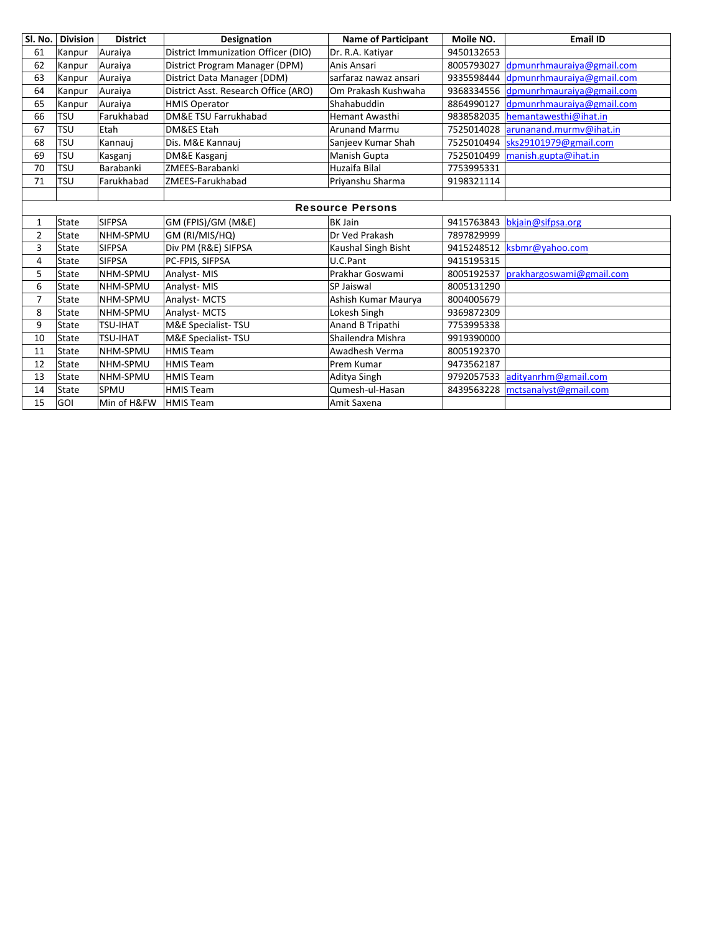| SI. No.      | <b>Division</b>         | <b>District</b> | <b>Designation</b>                   | <b>Name of Participant</b> | Moile NO.  | <b>Email ID</b>           |  |  |  |
|--------------|-------------------------|-----------------|--------------------------------------|----------------------------|------------|---------------------------|--|--|--|
| 61           | Kanpur                  | Auraiya         | District Immunization Officer (DIO)  | Dr. R.A. Katiyar           | 9450132653 |                           |  |  |  |
| 62           | Kanpur                  | Auraiya         | District Program Manager (DPM)       | Anis Ansari                | 8005793027 | dpmunrhmauraiya@gmail.com |  |  |  |
| 63           | Kanpur                  | Auraiya         | District Data Manager (DDM)          | sarfaraz nawaz ansari      | 9335598444 | dpmunrhmauraiya@gmail.com |  |  |  |
| 64           | Kanpur                  | Auraiya         | District Asst. Research Office (ARO) | Om Prakash Kushwaha        | 9368334556 | dpmunrhmauraiya@gmail.com |  |  |  |
| 65           | Kanpur                  | Auraiya         | <b>HMIS Operator</b>                 | Shahabuddin                | 8864990127 | dpmunrhmauraiya@gmail.com |  |  |  |
| 66           | <b>TSU</b>              | Farukhabad      | DM&E TSU Farrukhabad                 | <b>Hemant Awasthi</b>      | 9838582035 | hemantawesthi@ihat.in     |  |  |  |
| 67           | <b>TSU</b>              | Etah            | DM&ES Etah                           | <b>Arunand Marmu</b>       | 7525014028 | arunanand.murmv@ihat.in   |  |  |  |
| 68           | <b>TSU</b>              | Kannaui         | Dis. M&E Kannauj                     | Sanjeev Kumar Shah         | 7525010494 | sks29101979@gmail.com     |  |  |  |
| 69           | <b>TSU</b>              | Kasganj         | DM&E Kasgani                         | Manish Gupta               | 7525010499 | manish.gupta@ihat.in      |  |  |  |
| 70           | <b>TSU</b>              | Barabanki       | ZMEES-Barabanki                      | Huzaifa Bilal              | 7753995331 |                           |  |  |  |
| 71           | TSU                     | Farukhabad      | ZMEES-Farukhabad                     | Priyanshu Sharma           | 9198321114 |                           |  |  |  |
|              |                         |                 |                                      |                            |            |                           |  |  |  |
|              | <b>Resource Persons</b> |                 |                                      |                            |            |                           |  |  |  |
| $\mathbf{1}$ | State                   | <b>SIFPSA</b>   | GM (FPIS)/GM (M&E)                   | <b>BK Jain</b>             | 9415763843 | bkjain@sifpsa.org         |  |  |  |
| 2            | State                   | NHM-SPMU        | GM (RI/MIS/HQ)                       | Dr Ved Prakash             | 7897829999 |                           |  |  |  |
| 3            | State                   | <b>SIFPSA</b>   | Div PM (R&E) SIFPSA                  | Kaushal Singh Bisht        | 9415248512 | ksbmr@yahoo.com           |  |  |  |
| 4            | State                   | <b>SIFPSA</b>   | PC-FPIS, SIFPSA                      | U.C.Pant                   | 9415195315 |                           |  |  |  |
| 5            | State                   | NHM-SPMU        | Analyst-MIS                          | Prakhar Goswami            | 8005192537 | prakhargoswami@gmail.com  |  |  |  |
| 6            | State                   | NHM-SPMU        | Analyst-MIS                          | SP Jaiswal                 | 8005131290 |                           |  |  |  |
| 7            | State                   | NHM-SPMU        | Analyst-MCTS                         | Ashish Kumar Maurya        | 8004005679 |                           |  |  |  |
| 8            | State                   | NHM-SPMU        | Analyst-MCTS                         | Lokesh Singh               | 9369872309 |                           |  |  |  |
| 9            | State                   | TSU-IHAT        | M&E Specialist-TSU                   | Anand B Tripathi           | 7753995338 |                           |  |  |  |
| 10           | State                   | TSU-IHAT        | M&E Specialist-TSU                   | Shailendra Mishra          | 9919390000 |                           |  |  |  |
| 11           | State                   | NHM-SPMU        | <b>HMIS Team</b>                     | Awadhesh Verma             | 8005192370 |                           |  |  |  |
| 12           | State                   | NHM-SPMU        | <b>HMIS Team</b>                     | Prem Kumar                 | 9473562187 |                           |  |  |  |
| 13           | State                   | NHM-SPMU        | <b>HMIS Team</b>                     | Aditya Singh               | 9792057533 | adityanrhm@gmail.com      |  |  |  |
| 14           | State                   | SPMU            | <b>HMIS Team</b>                     | Qumesh-ul-Hasan            | 8439563228 | mctsanalyst@gmail.com     |  |  |  |
| 15           | GOI                     | Min of H&FW     | <b>HMIS Team</b>                     | Amit Saxena                |            |                           |  |  |  |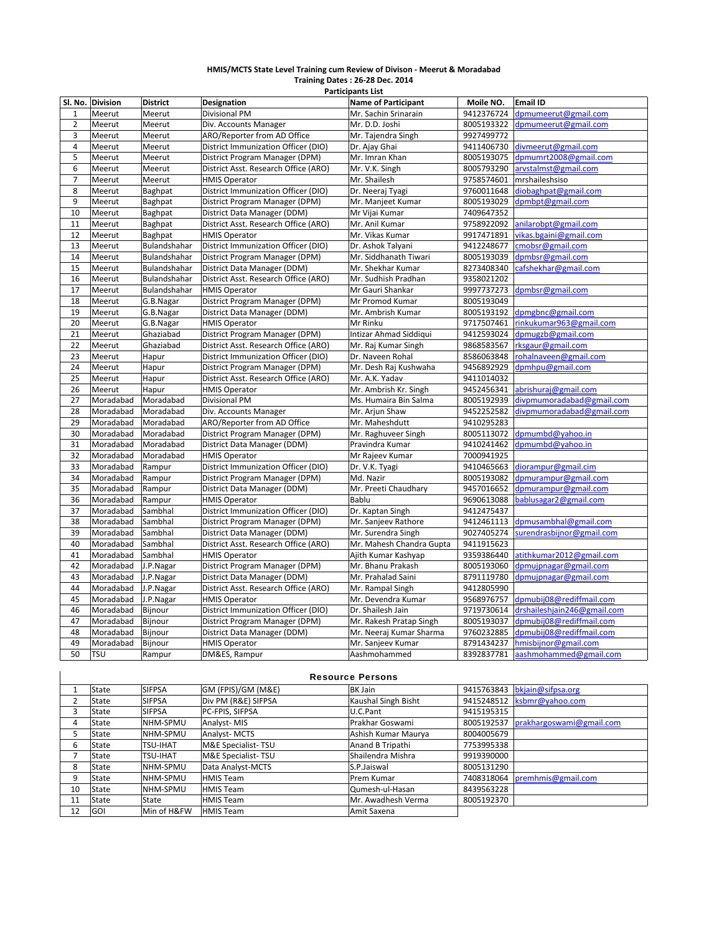#### **HMIS/MCTS State Level Training cum Review of Divison ‐ Meerut & Moradabad Training Dates : 26‐28 Dec. 2014**

|                | <b>Participants List</b> |                 |                                      |                            |            |                             |  |  |  |
|----------------|--------------------------|-----------------|--------------------------------------|----------------------------|------------|-----------------------------|--|--|--|
|                | Sl. No. Division         | <b>District</b> | <b>Designation</b>                   | <b>Name of Participant</b> | Moile NO.  | <b>Email ID</b>             |  |  |  |
| $\mathbf{1}$   | Meerut                   | Meerut          | <b>Divisional PM</b>                 | Mr. Sachin Srinarain       | 9412376724 | dpmumeerut@gmail.com        |  |  |  |
| $\overline{2}$ | Meerut                   | Meerut          | Div. Accounts Manager                | Mr. D.D. Joshi             | 8005193322 | dpmumeerut@gmail.com        |  |  |  |
| 3              | Meerut                   | Meerut          | ARO/Reporter from AD Office          | Mr. Tajendra Singh         | 9927499772 |                             |  |  |  |
| $\overline{4}$ | Meerut                   | Meerut          | District Immunization Officer (DIO)  | Dr. Ajay Ghai              | 9411406730 | divmeerut@gmail.com         |  |  |  |
| 5              | Meerut                   | Meerut          | District Program Manager (DPM)       | Mr. Imran Khan             | 8005193075 | dpmumrt2008@gmail.com       |  |  |  |
| 6              | Meerut                   | Meerut          | District Asst. Research Office (ARO) | Mr. V.K. Singh             | 8005793290 | arvstalmst@gmail.com        |  |  |  |
| $\overline{7}$ | Meerut                   | Meerut          | <b>HMIS Operator</b>                 | Mr. Shailesh               | 9758574601 | mrshaileshsiso              |  |  |  |
| 8              | Meerut                   | Baghpat         | District Immunization Officer (DIO)  | Dr. Neeraj Tyagi           | 9760011648 | diobaghpat@gmail.com        |  |  |  |
| 9              | Meerut                   | Baghpat         | District Program Manager (DPM)       | Mr. Manjeet Kumar          | 8005193029 | dpmbpt@gmail.com            |  |  |  |
| 10             | Meerut                   | Baghpat         | District Data Manager (DDM)          | Mr Vijai Kumar             | 7409647352 |                             |  |  |  |
| 11             | Meerut                   | Baghpat         | District Asst. Research Office (ARO) | Mr. Anil Kumar             | 9758922092 | anilarobpt@gmail.com        |  |  |  |
| 12             | Meerut                   | Baghpat         | <b>HMIS Operator</b>                 | Mr. Vikas Kumar            | 9917471891 | vikas.bgaini@gmail.com      |  |  |  |
| 13             | Meerut                   | Bulandshahar    | District Immunization Officer (DIO)  | Dr. Ashok Talyani          | 9412248677 | cmobsr@gmail.com            |  |  |  |
| 14             | Meerut                   | Bulandshahar    | District Program Manager (DPM)       | Mr. Siddhanath Tiwari      | 8005193039 | dpmbsr@gmail.com            |  |  |  |
| 15             | Meerut                   | Bulandshahar    | District Data Manager (DDM)          | Mr. Shekhar Kumar          | 8273408340 | cafshekhar@gmail.com        |  |  |  |
| 16             | Meerut                   | Bulandshahar    | District Asst. Research Office (ARO) | Mr. Sudhish Pradhan        | 9358021202 |                             |  |  |  |
| 17             | Meerut                   | Bulandshahar    | <b>HMIS Operator</b>                 | Mr Gauri Shankar           | 9997737273 | dpmbsr@gmail.com            |  |  |  |
| 18             | Meerut                   | G.B.Nagar       | District Program Manager (DPM)       | Mr Promod Kumar            | 8005193049 |                             |  |  |  |
| 19             | Meerut                   | G.B.Nagar       | District Data Manager (DDM)          | Mr. Ambrish Kumar          | 8005193192 | dpmgbnc@gmail.com           |  |  |  |
| 20             | Meerut                   | G.B.Nagar       | <b>HMIS Operator</b>                 | Mr Rinku                   | 9717507461 | rinkukumar963@gmail.com     |  |  |  |
| 21             | Meerut                   | Ghaziabad       | District Program Manager (DPM)       | Intizar Ahmad Siddiqui     | 9412593024 | dpmugzb@gmail.com           |  |  |  |
| 22             | Meerut                   | Ghaziabad       | District Asst. Research Office (ARO) | Mr. Raj Kumar Singh        | 9868583567 | rksgaur@gmail.com           |  |  |  |
| 23             | Meerut                   | Hapur           | District Immunization Officer (DIO)  | Dr. Naveen Rohal           | 8586063848 | rohalnaveen@gmail.com       |  |  |  |
| 24             | Meerut                   | Hapur           | District Program Manager (DPM)       | Mr. Desh Raj Kushwaha      | 9456892929 | dpmhpu@gmail.com            |  |  |  |
| 25             | Meerut                   | Hapur           | District Asst. Research Office (ARO) | Mr. A.K. Yadav             | 9411014032 |                             |  |  |  |
| 26             | Meerut                   | Hapur           | <b>HMIS Operator</b>                 | Mr. Ambrish Kr. Singh      | 9452456341 | abrishuraj@gmail.com        |  |  |  |
| 27             | Moradabad                | Moradabad       | <b>Divisional PM</b>                 | Ms. Humaira Bin Salma      | 8005192939 | divpmumoradabad@gmail.com   |  |  |  |
| 28             | Moradabad                | Moradabad       | Div. Accounts Manager                | Mr. Arjun Shaw             | 9452252582 | divpmumoradabad@gmail.com   |  |  |  |
| 29             | Moradabad                | Moradabad       | ARO/Reporter from AD Office          | Mr. Maheshdutt             | 9410295283 |                             |  |  |  |
| 30             | Moradabad                | Moradabad       | District Program Manager (DPM)       | Mr. Raghuveer Singh        | 8005113072 | dpmumbd@yahoo.in            |  |  |  |
| 31             | Moradabad                | Moradabad       | District Data Manager (DDM)          | Pravindra Kumar            | 9410241462 | dpmumbd@yahoo.in            |  |  |  |
| 32             | Moradabad                | Moradabad       | <b>HMIS Operator</b>                 | Mr Rajeev Kumar            | 7000941925 |                             |  |  |  |
| 33             | Moradabad                | Rampur          | District Immunization Officer (DIO)  | Dr. V.K. Tyagi             | 9410465663 | diorampur@gmail.cim         |  |  |  |
| 34             | Moradabad                | Rampur          | District Program Manager (DPM)       | Md. Nazir                  | 8005193082 | dpmurampur@gmail.com        |  |  |  |
| 35             | Moradabad                | Rampur          | District Data Manager (DDM)          | Mr. Preeti Chaudhary       | 9457016652 | dpmurampur@gmail.com        |  |  |  |
| 36             | Moradabad                | Rampur          | <b>HMIS Operator</b>                 | Bablu                      | 9690613088 | bablusagar2@gmail.com       |  |  |  |
| 37             | Moradabad                | Sambhal         | District Immunization Officer (DIO)  | Dr. Kaptan Singh           | 9412475437 |                             |  |  |  |
| 38             | Moradabad                | Sambhal         | District Program Manager (DPM)       | Mr. Sanjeev Rathore        | 9412461113 | dpmusambhal@gmail.com       |  |  |  |
| 39             | Moradabad                | Sambhal         | District Data Manager (DDM)          | Mr. Surendra Singh         | 9027405274 | surendrasbijnor@gmail.com   |  |  |  |
| 40             | Moradabad                | Sambhal         | District Asst. Research Office (ARO) | Mr. Mahesh Chandra Gupta   | 9411915623 |                             |  |  |  |
| 41             | Moradabad                | Sambhal         | <b>HMIS Operator</b>                 | Ajith Kumar Kashyap        | 9359386440 | atithkumar2012@gmail.com    |  |  |  |
| 42             | Moradabad                | J.P.Nagar       | District Program Manager (DPM)       | Mr. Bhanu Prakash          | 8005193060 | dpmujpnagar@gmail.com       |  |  |  |
| 43             | Moradabad                | J.P.Nagar       | District Data Manager (DDM)          | Mr. Prahalad Saini         | 8791119780 | dpmujpnagar@gmail.com       |  |  |  |
| 44             | Moradabad                | J.P.Nagar       | District Asst. Research Office (ARO) | Mr. Rampal Singh           | 9412805990 |                             |  |  |  |
| 45             | Moradabad                | J.P.Nagar       | <b>HMIS Operator</b>                 | Mr. Devendra Kumar         | 9568976757 | dpmubij08@rediffmail.com    |  |  |  |
| 46             | Moradabad                | Bijnour         | District Immunization Officer (DIO)  | Dr. Shailesh Jain          | 9719730614 | drshaileshjain246@gmail.com |  |  |  |
| 47             | Moradabad                | Bijnour         | District Program Manager (DPM)       | Mr. Rakesh Pratap Singh    | 8005193037 | dpmubij08@rediffmail.com    |  |  |  |
| 48             | Moradabad                | Bijnour         | District Data Manager (DDM)          | Mr. Neeraj Kumar Sharma    | 9760232885 | dpmubij08@rediffmail.com    |  |  |  |
| 49             | Moradabad                | Bijnour         | <b>HMIS Operator</b>                 | Mr. Sanjeev Kumar          | 8791434237 | hmisbijnor@gmail.com        |  |  |  |
| 50             | <b>TSU</b>               | Rampur          | DM&ES, Rampur                        | Aashmohammed               | 8392837781 | aashmohammed@gmail.com      |  |  |  |
|                |                          |                 |                                      |                            |            |                             |  |  |  |

|                |            |                 |                     | <b>Resource Persons</b> |            |                               |
|----------------|------------|-----------------|---------------------|-------------------------|------------|-------------------------------|
|                | State      | <b>SIFPSA</b>   | GM (FPIS)/GM (M&E)  | <b>BK Jain</b>          | 9415763843 | bkjain@sifpsa.org             |
| $\overline{2}$ | State      | <b>SIFPSA</b>   | Div PM (R&E) SIFPSA | Kaushal Singh Bisht     | 9415248512 | ksbmr@vahoo.com               |
| 3              | State      | <b>SIFPSA</b>   | PC-FPIS, SIFPSA     | U.C.Pant                | 9415195315 |                               |
| 4              | State      | NHM-SPMU        | Analyst-MIS         | Prakhar Goswami         | 8005192537 | prakhargoswami@gmail.com      |
| 5              | State      | NHM-SPMU        | Analyst-MCTS        | Ashish Kumar Maurya     | 8004005679 |                               |
| 6              | State      | TSU-IHAT        | M&E Specialist-TSU  | Anand B Tripathi        | 7753995338 |                               |
| ⇁              | State      | <b>TSU-IHAT</b> | M&E Specialist-TSU  | Shailendra Mishra       | 9919390000 |                               |
| 8              | State      | NHM-SPMU        | Data Analyst-MCTS   | S.P.Jaiswal             | 8005131290 |                               |
| 9              | State      | NHM-SPMU        | <b>HMIS Team</b>    | <b>Prem Kumar</b>       |            | 7408318064 premhmis@gmail.com |
| 10             | State      | NHM-SPMU        | <b>HMIS Team</b>    | Qumesh-ul-Hasan         | 8439563228 |                               |
| 11             | State      | State           | <b>HMIS Team</b>    | Mr. Awadhesh Verma      | 8005192370 |                               |
| 12             | <b>GOI</b> | Min of H&FW     | <b>HMIS Team</b>    | Amit Saxena             |            |                               |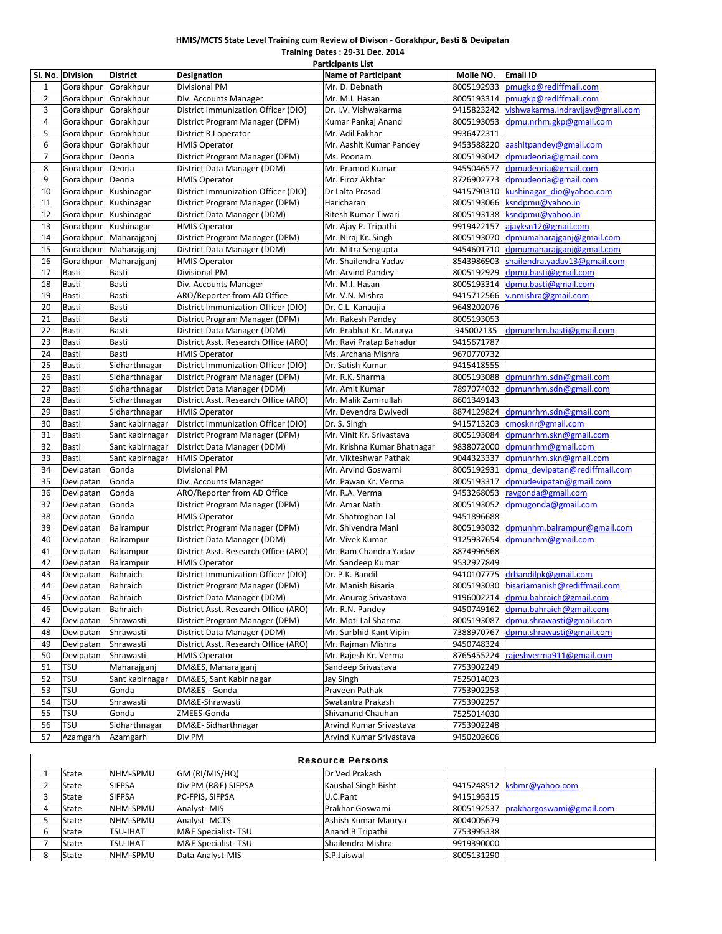### **HMIS/MCTS State Level Training cum Review of Divison ‐ Gorakhpur, Basti & Devipatan**

**SI.** No. Division District Designation **Designation** Name of Participant Moile NO. Email ID 1 Gorakhpur Gorakhpur Divisional PM Mr. D. Debnath 8005192933 pmugkp@rediffmail.com 2 Gorakhpur Gorakhpur Div. Accounts Manager Mr. M.I. Hasan 8005193314 pmugkp@rediffm<br>2 Gorakhpur Gorakhpur District Immunization Officer (DIO) Dr. I.V. Vishwakarma 9415823242 vishwakarma.indr Gorakhpur Gorakhpur District Immunization Officer (DIO) Dr. I.V. Vishwakarma 9415823242 vishwakarma.indravijay@ 4 Gorakhpur Gorakhpur District Program Manager (DPM) Kumar Pankaj Anand 8005193053 dn in managkp@gmail.com 5 Gorakhpur Gorakhpur District R I operator Mr. Adil Fakhar 9936472311 6 Gorakhpur Gorakhpur HMIS Operator Mr. Aashit Kumar Pandey 9453588220 aashitpandey@gmail.com 7 Gorakhpur Deoria | District Program Manager (DPM) | Ms. Poonam | 8005193042 domudeoria@gmail.com 8 Gorakhpur Deoria District Data Manager (DDM) Mr. Pramod Kumar 9455046577 dpmudeoria@gmail.com 9 Gorakhpur Deoria HMIS Operator Mr. Firoz Akhtar 8726902773 dpmudeoria@gmail.com 10 Gorakhpur Kushinagar District Immunization Officer (DIO) Dr Lalta Prasad 9415790310 kushinagar\_dio@yahoo.com 11 Gorakhpur Kushinagar District Program Manager (DPM) Haricharan 19805193066 ksndpmu@yahoo.in 12 Gorakhpur Kushinagar District Data Manager (DDM) Ritesh Kumar Tiwari 8005193138 ksndpmu@yahoo.in 13 Gorakhpur Kushinagar HMIS Operator Mr. Ajay P. Tripathi 9919422157 ajayksn12@gmail.com<br>14 Gorakhpur Maharaigani District Program Manager (DPM) Mr. Niraj Kr. Singh 8005193070 domumaharaigani@gr 14 Gorakhpur Maharajganj District Program Manager (DPM) Mr. Niraj Kr. Singh 8005193070 dpmumaharajganj@gmail.com 15 Gorakhpur Maharajganj District Data Manager (DDM) Mr. Mitra Sengupta 9454601710 dpmumaharajganj@gmail.com 16 Gorakhpur Maharajganj HMIS Operator Mr. Shailendra Yadav 8543986903 shailendra.yadav13@gmail.com 17 Basti Basti Divisional PM Mr. Arvind Pandey 8005192929 dn basti Basti Basti Basti Divisional PM Mr. Arvind Pandey<br>18 Basti Basti Divisional Accounts Manager Mr. M.I. Hasan 8005193314 domu.basti@gmail.com 18 Basti Basti Div. Accounts Manager Mr. M.I. Hasan 8005193314 19 Basti Basti ARO/Reporter from AD Office Mr. V.N. Mishra 9415712566 v.nmishra@gmail.com 20 Basti Basti District Immunization Officer (DIO) Dr. C.L. Kanaujia 9648202076 21 Basti Basti District Program Manager (DPM) 22 Basti Basti District Data Manager (DDM) Mr. Prabhat Kr. Maurya 945002135 dpmunrhm.basti@gmail.com 23 Basti Basti District Asst. Research Office (ARO) Mr. Ravi Pratap Bahadur 9415671787 24 Basti Basti HMIS Operator Ms. Archana Mishra | 9670770732 25 Basti Sidharthnagar District Immunization Officer (DIO) Dr. Satish Kumar 9415418555 26 Basti Sidharthnagar District Program Manager (DPM) Mr. R.K. Sharma 8005193088 dpmunrhm.sdn@gmail.com 27 Basti Sidharthnagar District Data Manager (DDM) Mr. Amit Kumar 7897074032 dpmunrhm.sdn@gmail.com 28 |Basti |Sidharthnagar |District Asst. Research Office (ARO) |Mr. Malik Zamirullah | 8601349143 29 Basti Sidharthnagar HMIS Operator Mr. Devendra Dwivedi 8874129824 dpmunrhm.sdn@gmail.com 30 Basti Sant kabirnagar District Immunization Officer (DIO) Dr. S. Singh 9415713203 cmosknr@gmail.com 31 Basti Sant kabirnagar District Program Manager (DPM) Mr. Vinit Kr. Srivastava 8005193084 dpmunrhm.skn@gmail.com 32 Basti Sant kabirnagar District Data Manager (DDM) Mr. Krishna Kumar Bhatnagar 9838072000 dpmunrhm@gmail.com 33 Basti Sant kabirnagar HMIS Operator Mr. Vikteshwar Pathak 9044323337 dpmunrhm.skn@gmail.com 34 Devipatan Gonda | Divisional PM | Mr. Arvind Goswami | 8005192931 dpmu\_devipatan@rediffmail.com 35 Devipatan Gonda Div. Accounts Manager Mr. Pawan Kr. Verma 8005193317 dpmudevipatan@gmail.com<br>36 Devipatan Gonda ARO/Reporter from AD Office Mr. R.A. Verma 9453268053 ravgonda@gmail.com 36 Devipatan Gonda ARO/Reporter from AD Office Mr. R.A. Verma 9453268053 37 Devipatan Gonda District Program Manager (DPM) Mr. Amar Nath 8005193052 dpmugonda@gmail.com 38 Devipatan Gonda HMIS Operator Mr. Shatroghan Lal 9451896688 39 Devipatan Balrampur District Program Manager (DPM) Mr. Shivendra Mani 8005193032 dpmunhm.balrampur@gmail.com 40 Devipatan Balrampur District Data Manager (DDM) Mr. Vivek Kumar 9125937654 dpmunrhm@gmail.com 41 | Devipatan | Balrampur | District Asst. Research Office (ARO) | Mr. Ram Chandra Yadav | 8874996568 42 |Devipatan |Balrampur | HMIS Operator Mr. Sandeep Kumar | 9532927849 43 Devipatan Bahraich District Immunization Officer (DIO) Dr. P.K. Bandil 9410107775 drbandilpk@gmail.com 44 Devipatan Bahraich District Program Manager (DPM) Mr. Manish Bisaria 8005193030 bisariamanish@rediffmail.com 45 Devipatan Bahraich District Data Manager (DDM) Mr. Anurag Srivastava 9196002214 dpmu.bahraich@ 46 Devipatan Bahraich District Asst. Research Office (ARO) Mr. R.N. Pandey 9450749162 dpmu.bahraich@gmail.com 47 Devipatan Shrawasti District Program Manager (DPM) Mr. Moti Lal Sharma 8005193087 dpmu.shrawasti@gmail.com 48 Devipatan Shrawasti District Data Manager (DDM) Mr. Surbhid Kant Vipin 7388970767 dpmu.shrawasti@gmail.com 49 | Devipatan Shrawasti | District Asst. Research Office (ARO) | Mr. Rajman Mishra | 9450748324 50 Devipatan Shrawasti HMIS Operator Mr. Rajesh Kr. Verma 8765455224 rajeshverma911@gmail.com 51 TSU Maharajganj DM&ES, Maharajganj Sandeep Srivastava 7753902249 52 TSU Sant kabirnagar DM&ES, Sant Kabir nagar Jay Singh 7525014023 53 TSU Gonda DM&ES ‐ Gonda Praveen Pathak 7753902253 54 TSU Shrawasti DM&E‐Shrawasti Swatantra Prakash 7753902257 55 TSU Gonda ZMEES-Gonda Shivanand Chauhan 7525014030<br>56 TSU Sidharthnagar DM&E-Sidharthnagar Arvind Kumar Srivastava 7753902248 56 TSU Sidharthnagar DM&E‐ Sidharthnagar Arvind Kumar Srivastava 7753902248 57 Azamgarh Azamgarh Div PM Arvind Kumar Srivastava 9450202606 **Participants List**

|   | <b>Resource Persons</b> |                 |                               |                     |            |                                     |  |  |  |
|---|-------------------------|-----------------|-------------------------------|---------------------|------------|-------------------------------------|--|--|--|
|   | State                   | NHM-SPMU        | GM (RI/MIS/HQ)                | Dr Ved Prakash      |            |                                     |  |  |  |
|   | State                   | <b>SIFPSA</b>   | Div PM (R&E) SIFPSA           | Kaushal Singh Bisht |            | 9415248512   ksbmr@yahoo.com        |  |  |  |
|   | State                   | <b>SIFPSA</b>   | PC-FPIS. SIFPSA               | U.C.Pant            | 9415195315 |                                     |  |  |  |
|   | State                   | NHM-SPMU        | Analyst-MIS                   | Prakhar Goswami     |            | 8005192537 prakhargoswami@gmail.com |  |  |  |
|   | State                   | NHM-SPMU        | <b>Analyst-MCTS</b>           | Ashish Kumar Maurya | 8004005679 |                                     |  |  |  |
|   | State                   | <b>TSU-IHAT</b> | <b>M&amp;E Specialist-TSU</b> | Anand B Tripathi    | 7753995338 |                                     |  |  |  |
|   | State                   | <b>TSU-IHAT</b> | <b>M&amp;E Specialist-TSU</b> | Shailendra Mishra   | 9919390000 |                                     |  |  |  |
| 8 | State                   | NHM-SPMU        | Data Analyst-MIS              | S.P.Jaiswal         | 8005131290 |                                     |  |  |  |

**Training Dates : 29‐31 Dec. 2014**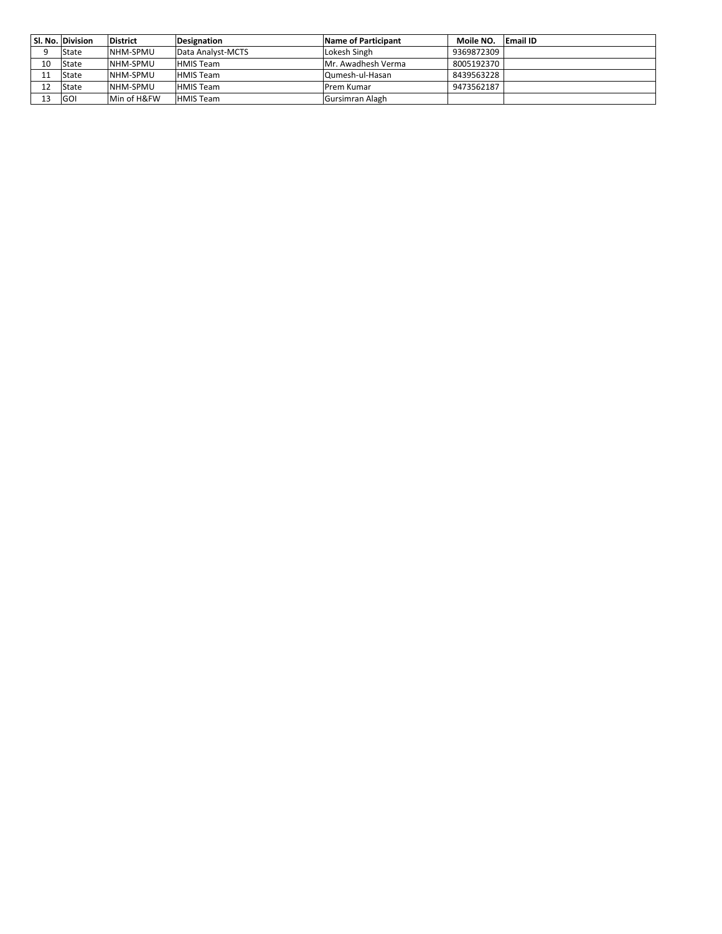|    | SI. No. Division | <b>District</b>  | Designation       | Name of Participant | Moile NO.  | <b>Email ID</b> |
|----|------------------|------------------|-------------------|---------------------|------------|-----------------|
|    | State            | NHM-SPMU         | Data Analyst-MCTS | Lokesh Singh        | 9369872309 |                 |
| 10 | State            | NHM-SPMU         | <b>HMIS Team</b>  | Mr. Awadhesh Verma  | 8005192370 |                 |
|    | State            | NHM-SPMU         | <b>HMIS Team</b>  | Qumesh-ul-Hasan     | 8439563228 |                 |
|    | State            | <b>INHM-SPMU</b> | <b>HMIS Team</b>  | Prem Kumar          | 9473562187 |                 |
|    | <b>GOI</b>       | Min of H&FW      | <b>HMIS Team</b>  | Gursimran Alagh     |            |                 |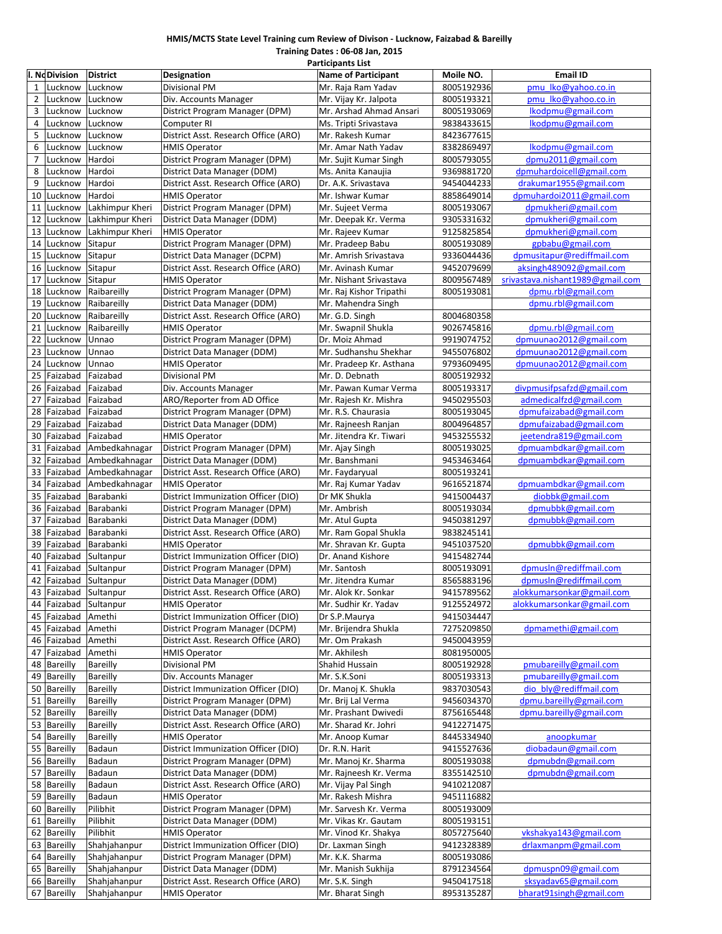#### **HMIS/MCTS State Level Training cum Review of Divison ‐ Lucknow, Faizabad & Bareilly**

**Training Dates : 06‐08 Jan, 2015 Participants List**

|                | I. NoDivision         | <b>District</b> | Designation                          | <b>Name of Participant</b> | Moile NO.  | <b>Email ID</b>                  |
|----------------|-----------------------|-----------------|--------------------------------------|----------------------------|------------|----------------------------------|
| $\mathbf{1}$   | Lucknow               | Lucknow         | Divisional PM                        | Mr. Raja Ram Yadav         | 8005192936 | pmu lko@yahoo.co.in              |
| $\overline{2}$ | Lucknow               | Lucknow         | Div. Accounts Manager                | Mr. Vijay Kr. Jalpota      | 8005193321 | pmu lko@yahoo.co.in              |
| 3              | Lucknow               | Lucknow         | District Program Manager (DPM)       | Mr. Arshad Ahmad Ansari    | 8005193069 | lkodpmu@gmail.com                |
| 4              | Lucknow               | Lucknow         | Computer RI                          | Ms. Tripti Srivastava      | 9838433615 | lkodpmu@gmail.com                |
| 5              | Lucknow               | Lucknow         | District Asst. Research Office (ARO) | Mr. Rakesh Kumar           | 8423677615 |                                  |
| 6              | Lucknow               | Lucknow         | <b>HMIS Operator</b>                 | Mr. Amar Nath Yadav        | 8382869497 | lkodpmu@gmail.com                |
| $\overline{7}$ | Lucknow               | Hardoi          | District Program Manager (DPM)       | Mr. Sujit Kumar Singh      | 8005793055 | dpmu2011@gmail.com               |
| 8              | Lucknow               | Hardoi          | District Data Manager (DDM)          | Ms. Anita Kanaujia         | 9369881720 | dpmuhardoicell@gmail.com         |
| 9              | Lucknow               | Hardoi          | District Asst. Research Office (ARO) | Dr. A.K. Srivastava        | 9454044233 | drakumar1955@gmail.com           |
| 10             | Lucknow               | Hardoi          | <b>HMIS Operator</b>                 | Mr. Ishwar Kumar           | 8858649014 | dpmuhardoi2011@gmail.com         |
| 11             | Lucknow               | Lakhimpur Kheri | District Program Manager (DPM)       | Mr. Sujeet Verma           | 8005193067 | dpmukheri@gmail.com              |
| 12             | Lucknow               | Lakhimpur Kheri | District Data Manager (DDM)          | Mr. Deepak Kr. Verma       | 9305331632 | dpmukheri@gmail.com              |
| 13             | Lucknow               | Lakhimpur Kheri | <b>HMIS Operator</b>                 | Mr. Rajeev Kumar           | 9125825854 | dpmukheri@gmail.com              |
| 14             | Lucknow               | Sitapur         | District Program Manager (DPM)       | Mr. Pradeep Babu           | 8005193089 | gpbabu@gmail.com                 |
| 15             | Lucknow               | Sitapur         | District Data Manager (DCPM)         | Mr. Amrish Srivastava      | 9336044436 | dpmusitapur@rediffmail.com       |
| 16             | Lucknow               | Sitapur         | District Asst. Research Office (ARO) | Mr. Avinash Kumar          | 9452079699 | aksingh489092@gmail.com          |
| 17             | Lucknow               | Sitapur         | <b>HMIS Operator</b>                 | Mr. Nishant Srivastava     | 8009567489 | srivastava.nishant1989@gmail.com |
| 18             | Lucknow               | Raibareilly     | District Program Manager (DPM)       | Mr. Raj Kishor Tripathi    | 8005193081 | dpmu.rbl@gmail.com               |
| 19             | Lucknow               | Raibareilly     | District Data Manager (DDM)          | Mr. Mahendra Singh         |            | dpmu.rbl@gmail.com               |
| 20             | Lucknow               | Raibareilly     | District Asst. Research Office (ARO) | Mr. G.D. Singh             | 8004680358 |                                  |
| 21             | Lucknow               | Raibareilly     | <b>HMIS Operator</b>                 | Mr. Swapnil Shukla         | 9026745816 | dpmu.rbl@gmail.com               |
| 22             | Lucknow               | Unnao           | District Program Manager (DPM)       | Dr. Moiz Ahmad             | 9919074752 | dpmuunao2012@gmail.com           |
| 23             | Lucknow               | Unnao           | District Data Manager (DDM)          | Mr. Sudhanshu Shekhar      | 9455076802 | dpmuunao2012@gmail.com           |
| 24             | Lucknow               | Unnao           | <b>HMIS Operator</b>                 | Mr. Pradeep Kr. Asthana    | 9793609495 | dpmuunao2012@gmail.com           |
| 25             | Faizabad              | Faizabad        | Divisional PM                        | Mr. D. Debnath             | 8005192932 |                                  |
| 26             | Faizabad              | Faizabad        | Div. Accounts Manager                | Mr. Pawan Kumar Verma      | 8005193317 | divpmusifpsafzd@gmail.com        |
| 27             | Faizabad              | Faizabad        | ARO/Reporter from AD Office          | Mr. Rajesh Kr. Mishra      | 9450295503 | admedicalfzd@gmail.com           |
| 28             | Faizabad              | Faizabad        | District Program Manager (DPM)       | Mr. R.S. Chaurasia         | 8005193045 | dpmufaizabad@gmail.com           |
| 29             | Faizabad              | Faizabad        | District Data Manager (DDM)          | Mr. Rajneesh Ranjan        | 8004964857 | dpmufaizabad@gmail.com           |
| 30             | Faizabad              | Faizabad        | <b>HMIS Operator</b>                 | Mr. Jitendra Kr. Tiwari    | 9453255532 | jeetendra819@gmail.com           |
| 31             | Faizabad              | Ambedkahnagar   | District Program Manager (DPM)       | Mr. Ajay Singh             | 8005193025 | dpmuambdkar@gmail.com            |
| 32             | Faizabad              | Ambedkahnagar   | District Data Manager (DDM)          | Mr. Banshmani              | 9453463464 | dpmuambdkar@gmail.com            |
| 33             | Faizabad              | Ambedkahnagar   | District Asst. Research Office (ARO) | Mr. Faydaryual             | 8005193241 |                                  |
| 34             | Faizabad              | Ambedkahnagar   | <b>HMIS Operator</b>                 | Mr. Raj Kumar Yadav        | 9616521874 | dpmuambdkar@gmail.com            |
| 35             | Faizabad              | Barabanki       | District Immunization Officer (DIO)  | Dr MK Shukla               | 9415004437 | diobbk@gmail.com                 |
| 36             | Faizabad              | Barabanki       | District Program Manager (DPM)       | Mr. Ambrish                | 8005193034 | dpmubbk@gmail.com                |
| 37             | Faizabad              | Barabanki       | District Data Manager (DDM)          | Mr. Atul Gupta             | 9450381297 | dpmubbk@gmail.com                |
| 38             | Faizabad              | Barabanki       | District Asst. Research Office (ARO) | Mr. Ram Gopal Shukla       | 9838245141 |                                  |
| 39             | Faizabad              | Barabanki       | <b>HMIS Operator</b>                 | Mr. Shravan Kr. Gupta      | 9451037520 | dpmubbk@gmail.com                |
| 40             | Faizabad              | Sultanpur       | District Immunization Officer (DIO)  | Dr. Anand Kishore          | 9415482744 |                                  |
| 41             | Faizabad              | Sultanpur       | District Program Manager (DPM)       | Mr. Santosh                | 8005193091 | dpmusln@rediffmail.com           |
| 42             | Faizabad              | Sultanpur       | District Data Manager (DDM)          | Mr. Jitendra Kumar         | 8565883196 | dpmusln@rediffmail.com           |
| 43             | Faizabad Sultanpur    |                 | District Asst. Research Office (ARO) | Mr. Alok Kr. Sonkar        | 9415789562 | alokkumarsonkar@gmail.com        |
|                | 44 Faizabad Sultanpur |                 | <b>HMIS Operator</b>                 | Mr. Sudhir Kr. Yadav       | 9125524972 | alokkumarsonkar@gmail.com        |
| 45             | Faizabad              | Amethi          | District Immunization Officer (DIO)  | Dr S.P.Maurya              | 9415034447 |                                  |
| 45             | Faizabad              | Amethi          | District Program Manager (DCPM)      | Mr. Brijendra Shukla       | 7275209850 | dpmamethi@gmail.com              |
| 46             | Faizabad              | Amethi          | District Asst. Research Office (ARO) | Mr. Om Prakash             | 9450043959 |                                  |
| 47             | Faizabad              | Amethi          | <b>HMIS Operator</b>                 | Mr. Akhilesh               | 8081950005 |                                  |
| 48             | Bareilly              | Bareilly        | Divisional PM                        | Shahid Hussain             | 8005192928 | pmubareilly@gmail.com            |
| 49             | <b>Bareilly</b>       | Bareilly        | Div. Accounts Manager                | Mr. S.K.Soni               | 8005193313 | pmubareilly@gmail.com            |
| 50             | Bareilly              | Bareilly        | District Immunization Officer (DIO)  | Dr. Manoj K. Shukla        | 9837030543 | dio bly@rediffmail.com           |
| 51             | <b>Bareilly</b>       | Bareilly        | District Program Manager (DPM)       | Mr. Brij Lal Verma         | 9456034370 | dpmu.bareilly@gmail.com          |
| 52             | <b>Bareilly</b>       | Bareilly        | District Data Manager (DDM)          | Mr. Prashant Dwivedi       | 8756165448 | dpmu.bareilly@gmail.com          |
| 53             | <b>Bareilly</b>       | Bareilly        | District Asst. Research Office (ARO) | Mr. Sharad Kr. Johri       | 9412271475 |                                  |
| 54             | Bareilly              | Bareilly        | <b>HMIS Operator</b>                 | Mr. Anoop Kumar            | 8445334940 | anoopkumar                       |
|                | 55 Bareilly           | Badaun          | District Immunization Officer (DIO)  | Dr. R.N. Harit             | 9415527636 | diobadaun@gmail.com              |
|                | 56 Bareilly           | Badaun          | District Program Manager (DPM)       | Mr. Manoj Kr. Sharma       | 8005193038 | dpmubdn@gmail.com                |
| 57             | Bareilly              | Badaun          | District Data Manager (DDM)          | Mr. Rajneesh Kr. Verma     | 8355142510 | dpmubdn@gmail.com                |
| 58             | Bareilly              | Badaun          | District Asst. Research Office (ARO) | Mr. Vijay Pal Singh        | 9410212087 |                                  |
| 59             | <b>Bareilly</b>       | Badaun          | <b>HMIS Operator</b>                 | Mr. Rakesh Mishra          | 9451116882 |                                  |
| 60             | <b>Bareilly</b>       | Pilibhit        | District Program Manager (DPM)       | Mr. Sarvesh Kr. Verma      | 8005193009 |                                  |
| 61             | <b>Bareilly</b>       | Pilibhit        | District Data Manager (DDM)          | Mr. Vikas Kr. Gautam       | 8005193151 |                                  |
| 62             | Bareilly              | Pilibhit        | <b>HMIS Operator</b>                 | Mr. Vinod Kr. Shakya       | 8057275640 | vkshakya143@gmail.com            |
| 63             | <b>Bareilly</b>       | Shahjahanpur    | District Immunization Officer (DIO)  | Dr. Laxman Singh           | 9412328389 | drlaxmanpm@gmail.com             |
| 64             | <b>Bareilly</b>       | Shahjahanpur    | District Program Manager (DPM)       | Mr. K.K. Sharma            | 8005193086 |                                  |
| 65             | Bareilly              | Shahjahanpur    | District Data Manager (DDM)          | Mr. Manish Sukhija         | 8791234564 | dpmuspn09@gmail.com              |
|                | 66 Bareilly           | Shahjahanpur    | District Asst. Research Office (ARO) | Mr. S.K. Singh             | 9450417518 | sksyadav65@gmail.com             |
|                | 67 Bareilly           | Shahjahanpur    | <b>HMIS Operator</b>                 | Mr. Bharat Singh           | 8953135287 | bharat91singh@gmail.com          |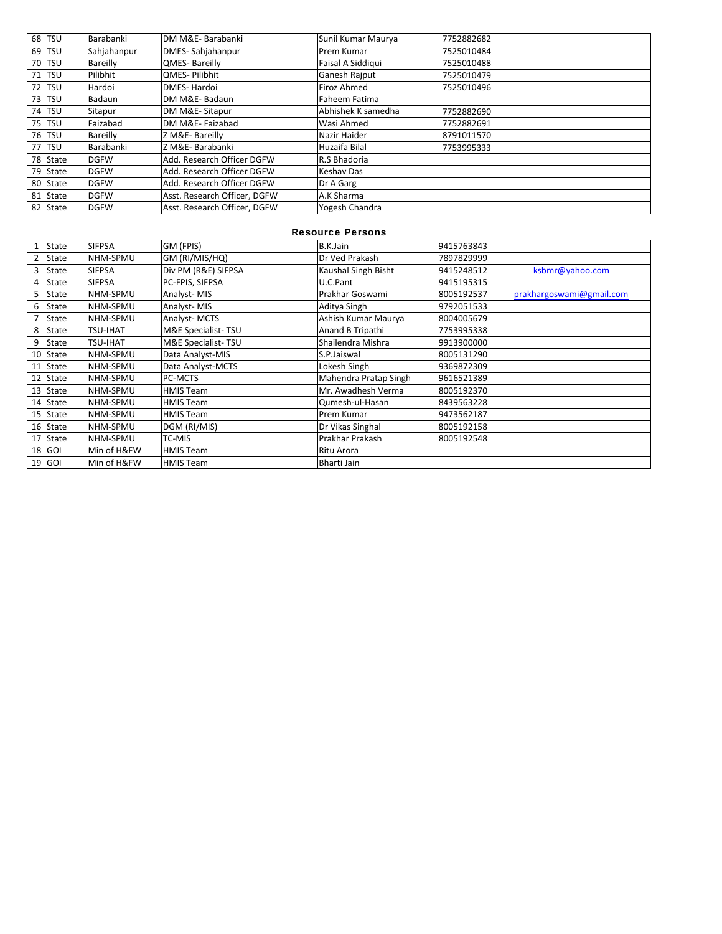| 68 TSU        | Barabanki   | DM M&E-Barabanki             | Sunil Kumar Maurya   | 7752882682 |  |
|---------------|-------------|------------------------------|----------------------|------------|--|
| 69 TSU        | Sahjahanpur | DMES-Sahjahanpur             | Prem Kumar           | 7525010484 |  |
| 70 TSU        | Bareilly    | QMES-Bareilly                | Faisal A Siddigui    | 7525010488 |  |
| 71 TSU        | Pilibhit    | <b>OMES-Pilibhit</b>         | <b>Ganesh Rajput</b> | 7525010479 |  |
| 72 TSU        | Hardoi      | <b>DMES-Hardoi</b>           | <b>Firoz Ahmed</b>   | 7525010496 |  |
| 73 TSU        | Badaun      | DM M&E-Badaun                | <b>Faheem Fatima</b> |            |  |
| <b>74 TSU</b> | Sitapur     | DM M&E-Sitapur               | Abhishek K samedha   | 7752882690 |  |
| 75 TSU        | Faizabad    | DM M&E-Faizabad              | Wasi Ahmed           | 7752882691 |  |
| 76 TSU        | Bareilly    | Z M&E-Bareilly               | Nazir Haider         | 8791011570 |  |
| 77 TSU        | Barabanki   | Z M&E-Barabanki              | Huzaifa Bilal        | 7753995333 |  |
| 78 State      | <b>DGFW</b> | Add. Research Officer DGFW   | R.S Bhadoria         |            |  |
| 79 State      | <b>DGFW</b> | Add. Research Officer DGFW   | Keshav Das           |            |  |
| 80 State      | <b>DGFW</b> | Add. Research Officer DGFW   | Dr A Garg            |            |  |
| 81 State      | <b>DGFW</b> | Asst. Research Officer, DGFW | A.K Sharma           |            |  |
| 82 State      | <b>DGFW</b> | Asst. Research Officer. DGFW | Yogesh Chandra       |            |  |

### Resource Persons

 $\overline{\phantom{a}}$ 

|   | State    | <b>SIFPSA</b>   | GM (FPIS)           | B.K.Jain              | 9415763843 |                          |
|---|----------|-----------------|---------------------|-----------------------|------------|--------------------------|
| 2 | State    | NHM-SPMU        | GM (RI/MIS/HQ)      | Dr Ved Prakash        | 7897829999 |                          |
| 3 | State    | <b>SIFPSA</b>   | Div PM (R&E) SIFPSA | Kaushal Singh Bisht   | 9415248512 | ksbmr@yahoo.com          |
| 4 | State    | <b>SIFPSA</b>   | PC-FPIS, SIFPSA     | U.C.Pant              | 9415195315 |                          |
| 5 | State    | NHM-SPMU        | Analyst-MIS         | Prakhar Goswami       | 8005192537 | prakhargoswami@gmail.com |
| 6 | State    | NHM-SPMU        | Analyst-MIS         | Aditya Singh          | 9792051533 |                          |
|   | State    | NHM-SPMU        | Analyst-MCTS        | Ashish Kumar Maurya   | 8004005679 |                          |
| 8 | State    | <b>TSU-IHAT</b> | M&E Specialist-TSU  | Anand B Tripathi      | 7753995338 |                          |
| 9 | State    | <b>TSU-IHAT</b> | M&E Specialist-TSU  | Shailendra Mishra     | 9913900000 |                          |
|   | 10 State | NHM-SPMU        | Data Analyst-MIS    | S.P.Jaiswal           | 8005131290 |                          |
|   | 11 State | NHM-SPMU        | Data Analyst-MCTS   | Lokesh Singh          | 9369872309 |                          |
|   | 12 State | NHM-SPMU        | PC-MCTS             | Mahendra Pratap Singh | 9616521389 |                          |
|   | 13 State | NHM-SPMU        | <b>HMIS Team</b>    | Mr. Awadhesh Verma    | 8005192370 |                          |
|   | 14 State | NHM-SPMU        | <b>HMIS Team</b>    | Qumesh-ul-Hasan       | 8439563228 |                          |
|   | 15 State | NHM-SPMU        | <b>HMIS Team</b>    | Prem Kumar            | 9473562187 |                          |
|   | 16 State | NHM-SPMU        | DGM (RI/MIS)        | Dr Vikas Singhal      | 8005192158 |                          |
|   | 17 State | NHM-SPMU        | TC-MIS              | Prakhar Prakash       | 8005192548 |                          |
|   | 18 GOI   | Min of H&FW     | <b>HMIS Team</b>    | Ritu Arora            |            |                          |
|   | 19 GOI   | Min of H&FW     | <b>HMIS Team</b>    | Bharti Jain           |            |                          |